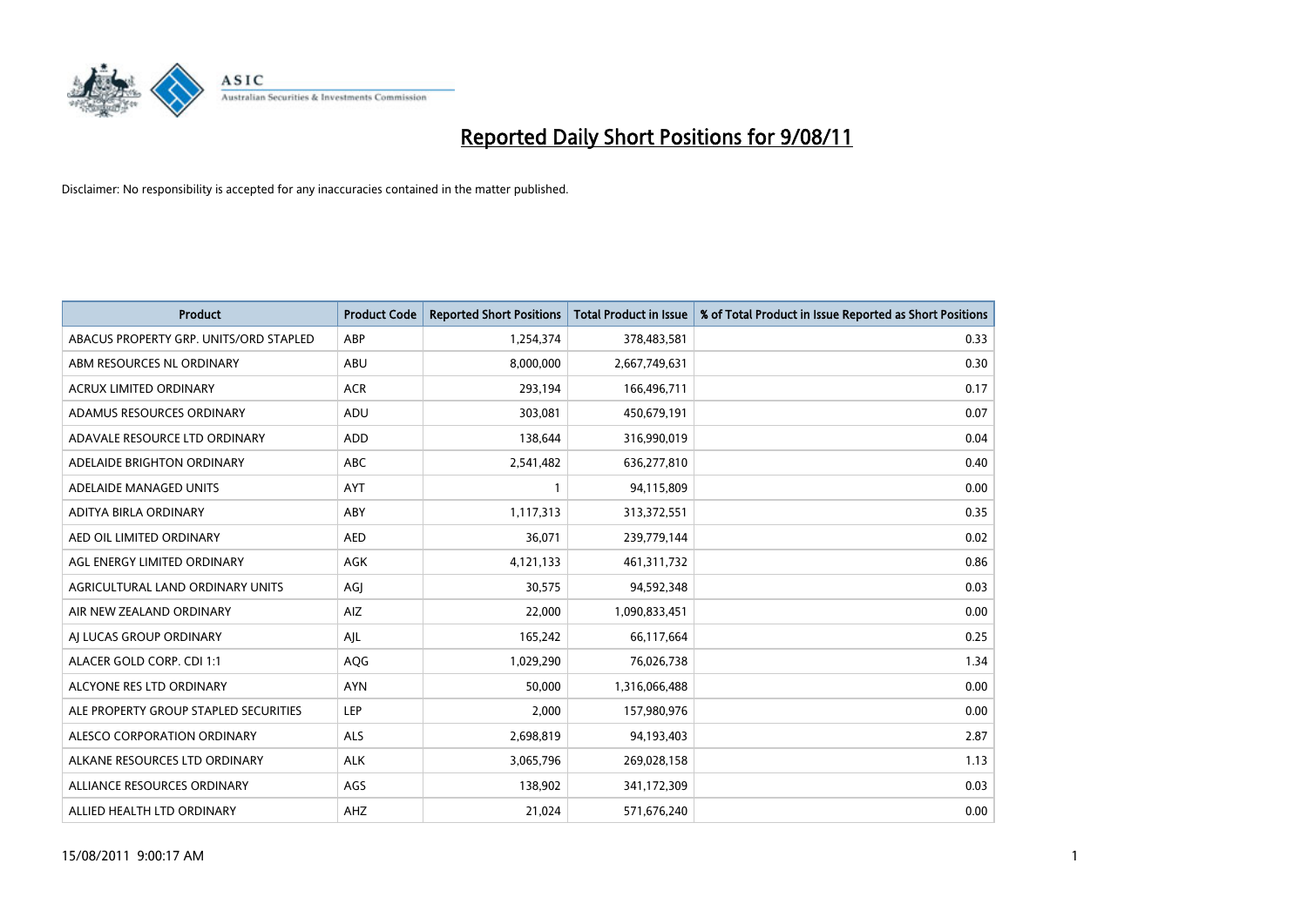

| <b>Product</b>                         | <b>Product Code</b> | <b>Reported Short Positions</b> | <b>Total Product in Issue</b> | % of Total Product in Issue Reported as Short Positions |
|----------------------------------------|---------------------|---------------------------------|-------------------------------|---------------------------------------------------------|
| ABACUS PROPERTY GRP. UNITS/ORD STAPLED | ABP                 | 1,254,374                       | 378,483,581                   | 0.33                                                    |
| ABM RESOURCES NL ORDINARY              | ABU                 | 8,000,000                       | 2,667,749,631                 | 0.30                                                    |
| <b>ACRUX LIMITED ORDINARY</b>          | <b>ACR</b>          | 293,194                         | 166,496,711                   | 0.17                                                    |
| ADAMUS RESOURCES ORDINARY              | ADU                 | 303,081                         | 450,679,191                   | 0.07                                                    |
| ADAVALE RESOURCE LTD ORDINARY          | <b>ADD</b>          | 138.644                         | 316,990,019                   | 0.04                                                    |
| ADELAIDE BRIGHTON ORDINARY             | <b>ABC</b>          | 2,541,482                       | 636,277,810                   | 0.40                                                    |
| ADELAIDE MANAGED UNITS                 | <b>AYT</b>          |                                 | 94,115,809                    | 0.00                                                    |
| ADITYA BIRLA ORDINARY                  | ABY                 | 1,117,313                       | 313,372,551                   | 0.35                                                    |
| AED OIL LIMITED ORDINARY               | <b>AED</b>          | 36,071                          | 239,779,144                   | 0.02                                                    |
| AGL ENERGY LIMITED ORDINARY            | <b>AGK</b>          | 4,121,133                       | 461,311,732                   | 0.86                                                    |
| AGRICULTURAL LAND ORDINARY UNITS       | AGJ                 | 30,575                          | 94,592,348                    | 0.03                                                    |
| AIR NEW ZEALAND ORDINARY               | AIZ                 | 22,000                          | 1,090,833,451                 | 0.00                                                    |
| AI LUCAS GROUP ORDINARY                | AJL                 | 165,242                         | 66,117,664                    | 0.25                                                    |
| ALACER GOLD CORP. CDI 1:1              | AQG                 | 1,029,290                       | 76,026,738                    | 1.34                                                    |
| ALCYONE RES LTD ORDINARY               | <b>AYN</b>          | 50,000                          | 1,316,066,488                 | 0.00                                                    |
| ALE PROPERTY GROUP STAPLED SECURITIES  | LEP                 | 2,000                           | 157,980,976                   | 0.00                                                    |
| ALESCO CORPORATION ORDINARY            | <b>ALS</b>          | 2,698,819                       | 94,193,403                    | 2.87                                                    |
| ALKANE RESOURCES LTD ORDINARY          | <b>ALK</b>          | 3,065,796                       | 269,028,158                   | 1.13                                                    |
| ALLIANCE RESOURCES ORDINARY            | AGS                 | 138,902                         | 341,172,309                   | 0.03                                                    |
| ALLIED HEALTH LTD ORDINARY             | <b>AHZ</b>          | 21,024                          | 571,676,240                   | 0.00                                                    |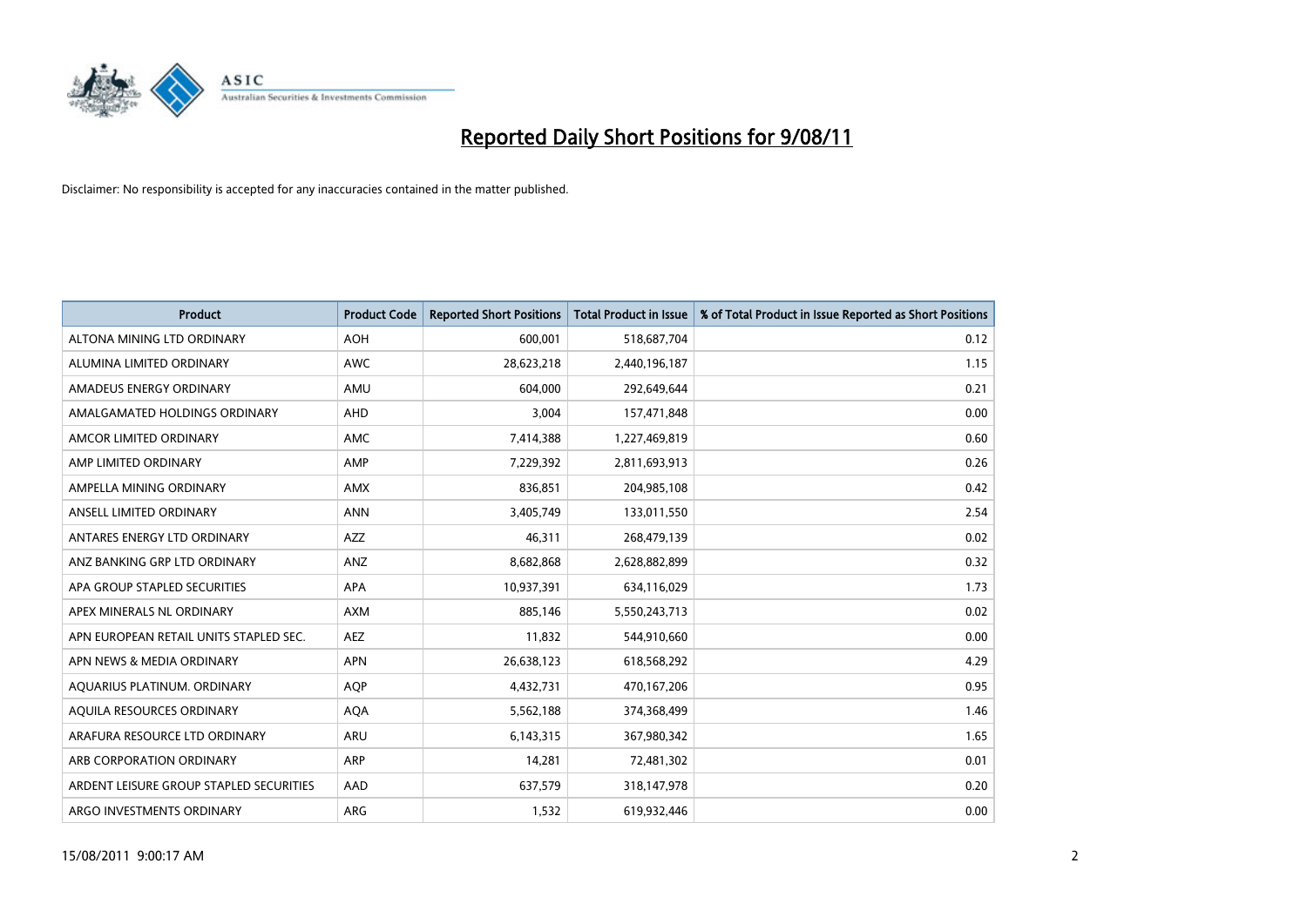

| <b>Product</b>                          | <b>Product Code</b> | <b>Reported Short Positions</b> | <b>Total Product in Issue</b> | % of Total Product in Issue Reported as Short Positions |
|-----------------------------------------|---------------------|---------------------------------|-------------------------------|---------------------------------------------------------|
| ALTONA MINING LTD ORDINARY              | <b>AOH</b>          | 600,001                         | 518,687,704                   | 0.12                                                    |
| ALUMINA LIMITED ORDINARY                | <b>AWC</b>          | 28,623,218                      | 2,440,196,187                 | 1.15                                                    |
| AMADEUS ENERGY ORDINARY                 | AMU                 | 604.000                         | 292,649,644                   | 0.21                                                    |
| AMALGAMATED HOLDINGS ORDINARY           | <b>AHD</b>          | 3,004                           | 157,471,848                   | 0.00                                                    |
| AMCOR LIMITED ORDINARY                  | <b>AMC</b>          | 7,414,388                       | 1,227,469,819                 | 0.60                                                    |
| AMP LIMITED ORDINARY                    | AMP                 | 7,229,392                       | 2,811,693,913                 | 0.26                                                    |
| AMPELLA MINING ORDINARY                 | <b>AMX</b>          | 836.851                         | 204,985,108                   | 0.42                                                    |
| ANSELL LIMITED ORDINARY                 | <b>ANN</b>          | 3,405,749                       | 133,011,550                   | 2.54                                                    |
| ANTARES ENERGY LTD ORDINARY             | <b>AZZ</b>          | 46,311                          | 268,479,139                   | 0.02                                                    |
| ANZ BANKING GRP LTD ORDINARY            | ANZ                 | 8,682,868                       | 2,628,882,899                 | 0.32                                                    |
| APA GROUP STAPLED SECURITIES            | <b>APA</b>          | 10,937,391                      | 634,116,029                   | 1.73                                                    |
| APEX MINERALS NL ORDINARY               | <b>AXM</b>          | 885,146                         | 5,550,243,713                 | 0.02                                                    |
| APN EUROPEAN RETAIL UNITS STAPLED SEC.  | <b>AEZ</b>          | 11,832                          | 544,910,660                   | 0.00                                                    |
| APN NEWS & MEDIA ORDINARY               | <b>APN</b>          | 26,638,123                      | 618,568,292                   | 4.29                                                    |
| AQUARIUS PLATINUM. ORDINARY             | <b>AOP</b>          | 4,432,731                       | 470,167,206                   | 0.95                                                    |
| AQUILA RESOURCES ORDINARY               | <b>AQA</b>          | 5,562,188                       | 374,368,499                   | 1.46                                                    |
| ARAFURA RESOURCE LTD ORDINARY           | <b>ARU</b>          | 6,143,315                       | 367,980,342                   | 1.65                                                    |
| ARB CORPORATION ORDINARY                | <b>ARP</b>          | 14,281                          | 72,481,302                    | 0.01                                                    |
| ARDENT LEISURE GROUP STAPLED SECURITIES | AAD                 | 637,579                         | 318,147,978                   | 0.20                                                    |
| ARGO INVESTMENTS ORDINARY               | ARG                 | 1,532                           | 619,932,446                   | 0.00                                                    |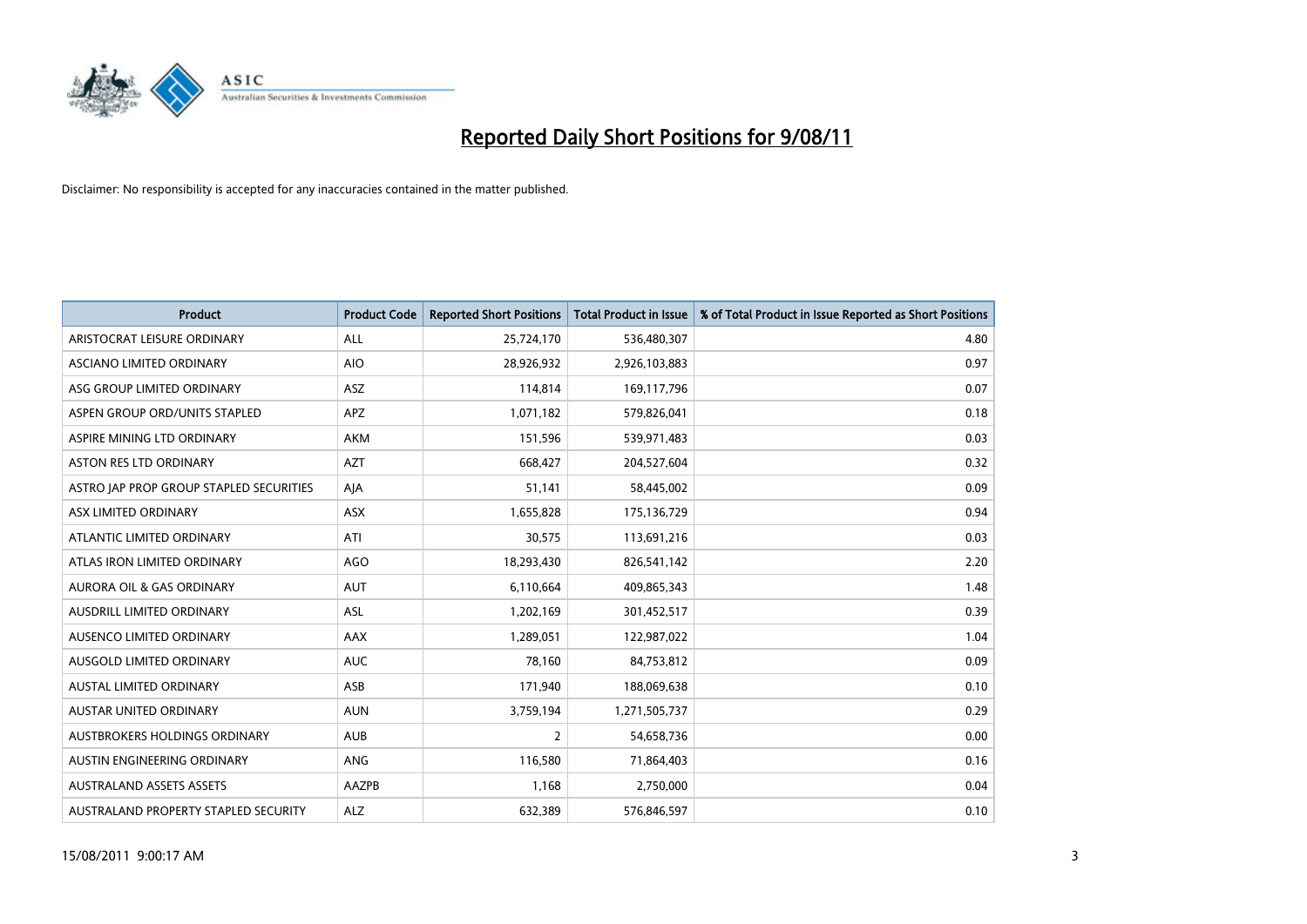

| <b>Product</b>                          | <b>Product Code</b> | <b>Reported Short Positions</b> | <b>Total Product in Issue</b> | % of Total Product in Issue Reported as Short Positions |
|-----------------------------------------|---------------------|---------------------------------|-------------------------------|---------------------------------------------------------|
| ARISTOCRAT LEISURE ORDINARY             | ALL                 | 25,724,170                      | 536,480,307                   | 4.80                                                    |
| ASCIANO LIMITED ORDINARY                | <b>AIO</b>          | 28,926,932                      | 2,926,103,883                 | 0.97                                                    |
| ASG GROUP LIMITED ORDINARY              | <b>ASZ</b>          | 114,814                         | 169,117,796                   | 0.07                                                    |
| ASPEN GROUP ORD/UNITS STAPLED           | <b>APZ</b>          | 1,071,182                       | 579,826,041                   | 0.18                                                    |
| ASPIRE MINING LTD ORDINARY              | <b>AKM</b>          | 151,596                         | 539,971,483                   | 0.03                                                    |
| <b>ASTON RES LTD ORDINARY</b>           | <b>AZT</b>          | 668,427                         | 204,527,604                   | 0.32                                                    |
| ASTRO JAP PROP GROUP STAPLED SECURITIES | AJA                 | 51,141                          | 58,445,002                    | 0.09                                                    |
| ASX LIMITED ORDINARY                    | <b>ASX</b>          | 1,655,828                       | 175,136,729                   | 0.94                                                    |
| ATLANTIC LIMITED ORDINARY               | ATI                 | 30,575                          | 113,691,216                   | 0.03                                                    |
| ATLAS IRON LIMITED ORDINARY             | <b>AGO</b>          | 18,293,430                      | 826,541,142                   | 2.20                                                    |
| <b>AURORA OIL &amp; GAS ORDINARY</b>    | <b>AUT</b>          | 6,110,664                       | 409,865,343                   | 1.48                                                    |
| AUSDRILL LIMITED ORDINARY               | <b>ASL</b>          | 1,202,169                       | 301,452,517                   | 0.39                                                    |
| AUSENCO LIMITED ORDINARY                | <b>AAX</b>          | 1.289.051                       | 122,987,022                   | 1.04                                                    |
| AUSGOLD LIMITED ORDINARY                | <b>AUC</b>          | 78.160                          | 84,753,812                    | 0.09                                                    |
| AUSTAL LIMITED ORDINARY                 | ASB                 | 171,940                         | 188,069,638                   | 0.10                                                    |
| AUSTAR UNITED ORDINARY                  | <b>AUN</b>          | 3,759,194                       | 1,271,505,737                 | 0.29                                                    |
| AUSTBROKERS HOLDINGS ORDINARY           | <b>AUB</b>          | $\overline{2}$                  | 54,658,736                    | 0.00                                                    |
| AUSTIN ENGINEERING ORDINARY             | ANG                 | 116,580                         | 71,864,403                    | 0.16                                                    |
| <b>AUSTRALAND ASSETS ASSETS</b>         | AAZPB               | 1,168                           | 2,750,000                     | 0.04                                                    |
| AUSTRALAND PROPERTY STAPLED SECURITY    | <b>ALZ</b>          | 632,389                         | 576,846,597                   | 0.10                                                    |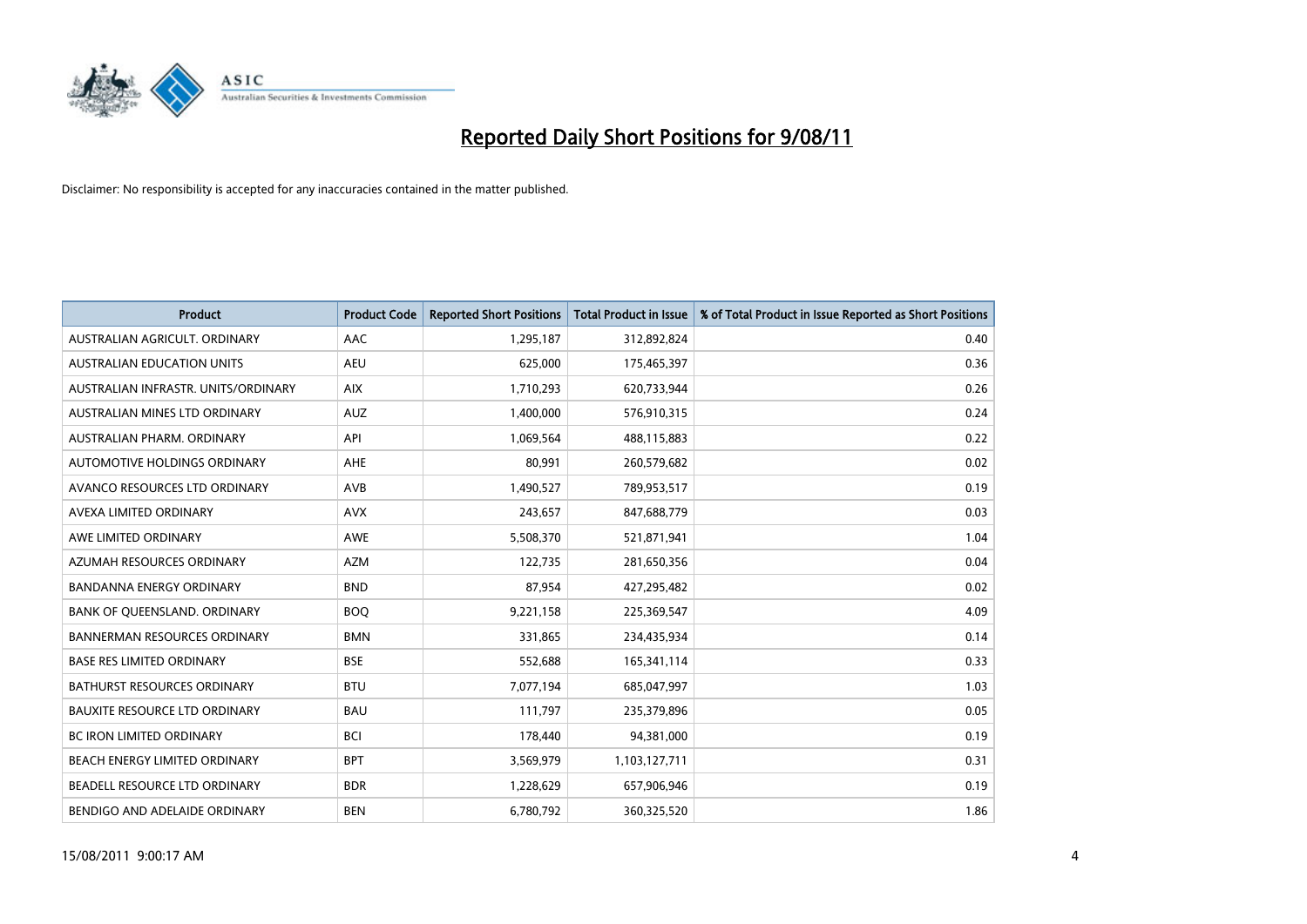

| <b>Product</b>                       | <b>Product Code</b> | <b>Reported Short Positions</b> | <b>Total Product in Issue</b> | % of Total Product in Issue Reported as Short Positions |
|--------------------------------------|---------------------|---------------------------------|-------------------------------|---------------------------------------------------------|
| AUSTRALIAN AGRICULT, ORDINARY        | AAC                 | 1,295,187                       | 312,892,824                   | 0.40                                                    |
| <b>AUSTRALIAN EDUCATION UNITS</b>    | <b>AEU</b>          | 625,000                         | 175,465,397                   | 0.36                                                    |
| AUSTRALIAN INFRASTR, UNITS/ORDINARY  | <b>AIX</b>          | 1,710,293                       | 620,733,944                   | 0.26                                                    |
| AUSTRALIAN MINES LTD ORDINARY        | <b>AUZ</b>          | 1,400,000                       | 576,910,315                   | 0.24                                                    |
| AUSTRALIAN PHARM, ORDINARY           | API                 | 1,069,564                       | 488,115,883                   | 0.22                                                    |
| AUTOMOTIVE HOLDINGS ORDINARY         | <b>AHE</b>          | 80,991                          | 260,579,682                   | 0.02                                                    |
| AVANCO RESOURCES LTD ORDINARY        | <b>AVB</b>          | 1,490,527                       | 789,953,517                   | 0.19                                                    |
| AVEXA LIMITED ORDINARY               | <b>AVX</b>          | 243,657                         | 847,688,779                   | 0.03                                                    |
| AWE LIMITED ORDINARY                 | <b>AWE</b>          | 5,508,370                       | 521,871,941                   | 1.04                                                    |
| AZUMAH RESOURCES ORDINARY            | <b>AZM</b>          | 122,735                         | 281,650,356                   | 0.04                                                    |
| <b>BANDANNA ENERGY ORDINARY</b>      | <b>BND</b>          | 87,954                          | 427,295,482                   | 0.02                                                    |
| BANK OF QUEENSLAND. ORDINARY         | <b>BOQ</b>          | 9,221,158                       | 225,369,547                   | 4.09                                                    |
| <b>BANNERMAN RESOURCES ORDINARY</b>  | <b>BMN</b>          | 331,865                         | 234,435,934                   | 0.14                                                    |
| <b>BASE RES LIMITED ORDINARY</b>     | <b>BSE</b>          | 552.688                         | 165,341,114                   | 0.33                                                    |
| BATHURST RESOURCES ORDINARY          | <b>BTU</b>          | 7,077,194                       | 685,047,997                   | 1.03                                                    |
| <b>BAUXITE RESOURCE LTD ORDINARY</b> | <b>BAU</b>          | 111,797                         | 235,379,896                   | 0.05                                                    |
| <b>BC IRON LIMITED ORDINARY</b>      | <b>BCI</b>          | 178,440                         | 94,381,000                    | 0.19                                                    |
| BEACH ENERGY LIMITED ORDINARY        | <b>BPT</b>          | 3,569,979                       | 1,103,127,711                 | 0.31                                                    |
| BEADELL RESOURCE LTD ORDINARY        | <b>BDR</b>          | 1,228,629                       | 657,906,946                   | 0.19                                                    |
| BENDIGO AND ADELAIDE ORDINARY        | <b>BEN</b>          | 6,780,792                       | 360,325,520                   | 1.86                                                    |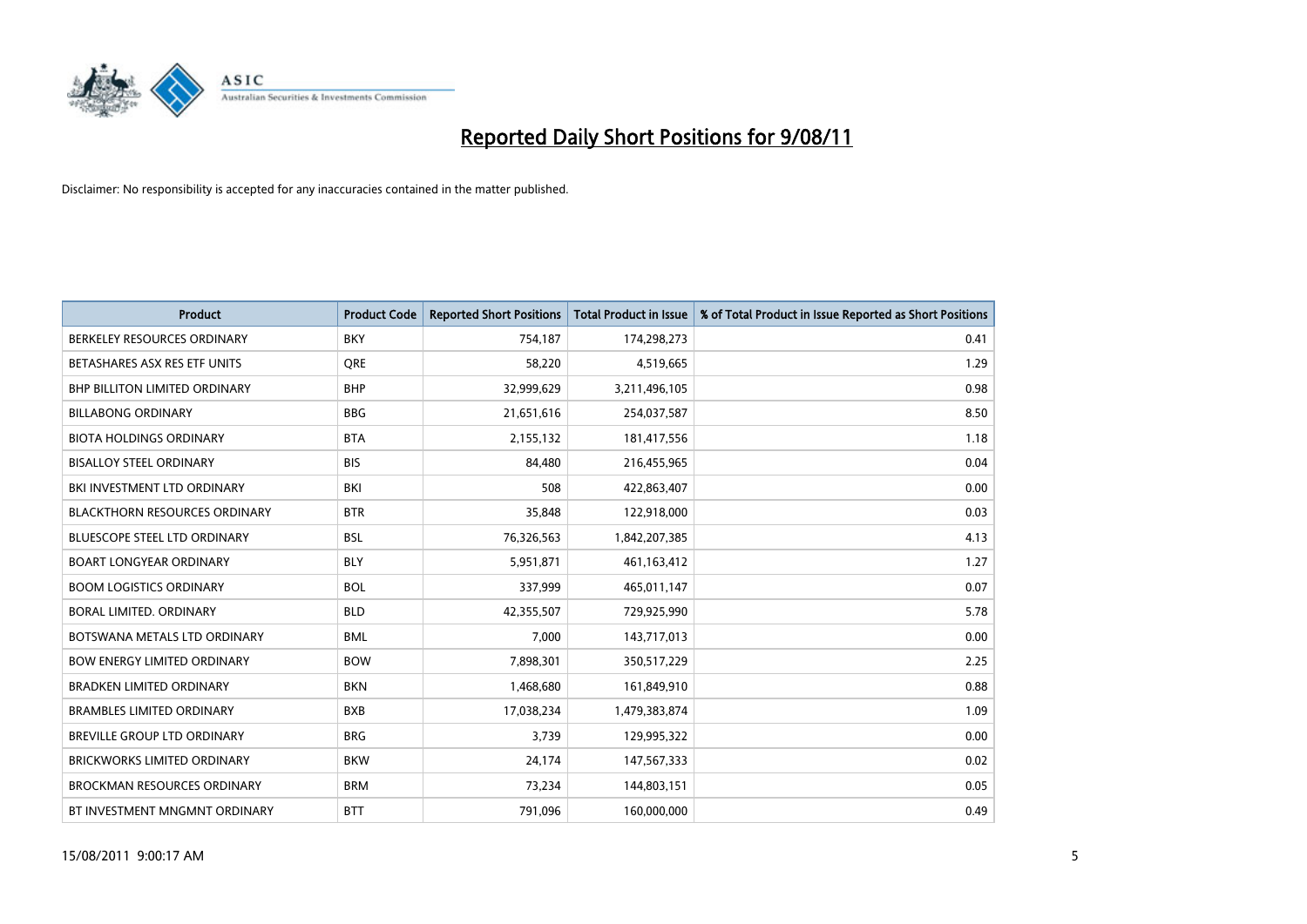

| <b>Product</b>                       | <b>Product Code</b> | <b>Reported Short Positions</b> | <b>Total Product in Issue</b> | % of Total Product in Issue Reported as Short Positions |
|--------------------------------------|---------------------|---------------------------------|-------------------------------|---------------------------------------------------------|
| BERKELEY RESOURCES ORDINARY          | <b>BKY</b>          | 754,187                         | 174,298,273                   | 0.41                                                    |
| BETASHARES ASX RES ETF UNITS         | <b>ORE</b>          | 58,220                          | 4,519,665                     | 1.29                                                    |
| <b>BHP BILLITON LIMITED ORDINARY</b> | <b>BHP</b>          | 32,999,629                      | 3,211,496,105                 | 0.98                                                    |
| <b>BILLABONG ORDINARY</b>            | <b>BBG</b>          | 21,651,616                      | 254,037,587                   | 8.50                                                    |
| <b>BIOTA HOLDINGS ORDINARY</b>       | <b>BTA</b>          | 2,155,132                       | 181,417,556                   | 1.18                                                    |
| <b>BISALLOY STEEL ORDINARY</b>       | <b>BIS</b>          | 84,480                          | 216,455,965                   | 0.04                                                    |
| BKI INVESTMENT LTD ORDINARY          | BKI                 | 508                             | 422,863,407                   | 0.00                                                    |
| <b>BLACKTHORN RESOURCES ORDINARY</b> | <b>BTR</b>          | 35,848                          | 122,918,000                   | 0.03                                                    |
| <b>BLUESCOPE STEEL LTD ORDINARY</b>  | <b>BSL</b>          | 76,326,563                      | 1,842,207,385                 | 4.13                                                    |
| <b>BOART LONGYEAR ORDINARY</b>       | <b>BLY</b>          | 5,951,871                       | 461,163,412                   | 1.27                                                    |
| <b>BOOM LOGISTICS ORDINARY</b>       | <b>BOL</b>          | 337,999                         | 465,011,147                   | 0.07                                                    |
| BORAL LIMITED, ORDINARY              | <b>BLD</b>          | 42,355,507                      | 729,925,990                   | 5.78                                                    |
| BOTSWANA METALS LTD ORDINARY         | <b>BML</b>          | 7,000                           | 143,717,013                   | 0.00                                                    |
| <b>BOW ENERGY LIMITED ORDINARY</b>   | <b>BOW</b>          | 7,898,301                       | 350,517,229                   | 2.25                                                    |
| BRADKEN LIMITED ORDINARY             | <b>BKN</b>          | 1,468,680                       | 161,849,910                   | 0.88                                                    |
| <b>BRAMBLES LIMITED ORDINARY</b>     | <b>BXB</b>          | 17,038,234                      | 1,479,383,874                 | 1.09                                                    |
| <b>BREVILLE GROUP LTD ORDINARY</b>   | <b>BRG</b>          | 3,739                           | 129,995,322                   | 0.00                                                    |
| BRICKWORKS LIMITED ORDINARY          | <b>BKW</b>          | 24,174                          | 147,567,333                   | 0.02                                                    |
| <b>BROCKMAN RESOURCES ORDINARY</b>   | <b>BRM</b>          | 73,234                          | 144,803,151                   | 0.05                                                    |
| BT INVESTMENT MNGMNT ORDINARY        | <b>BTT</b>          | 791,096                         | 160,000,000                   | 0.49                                                    |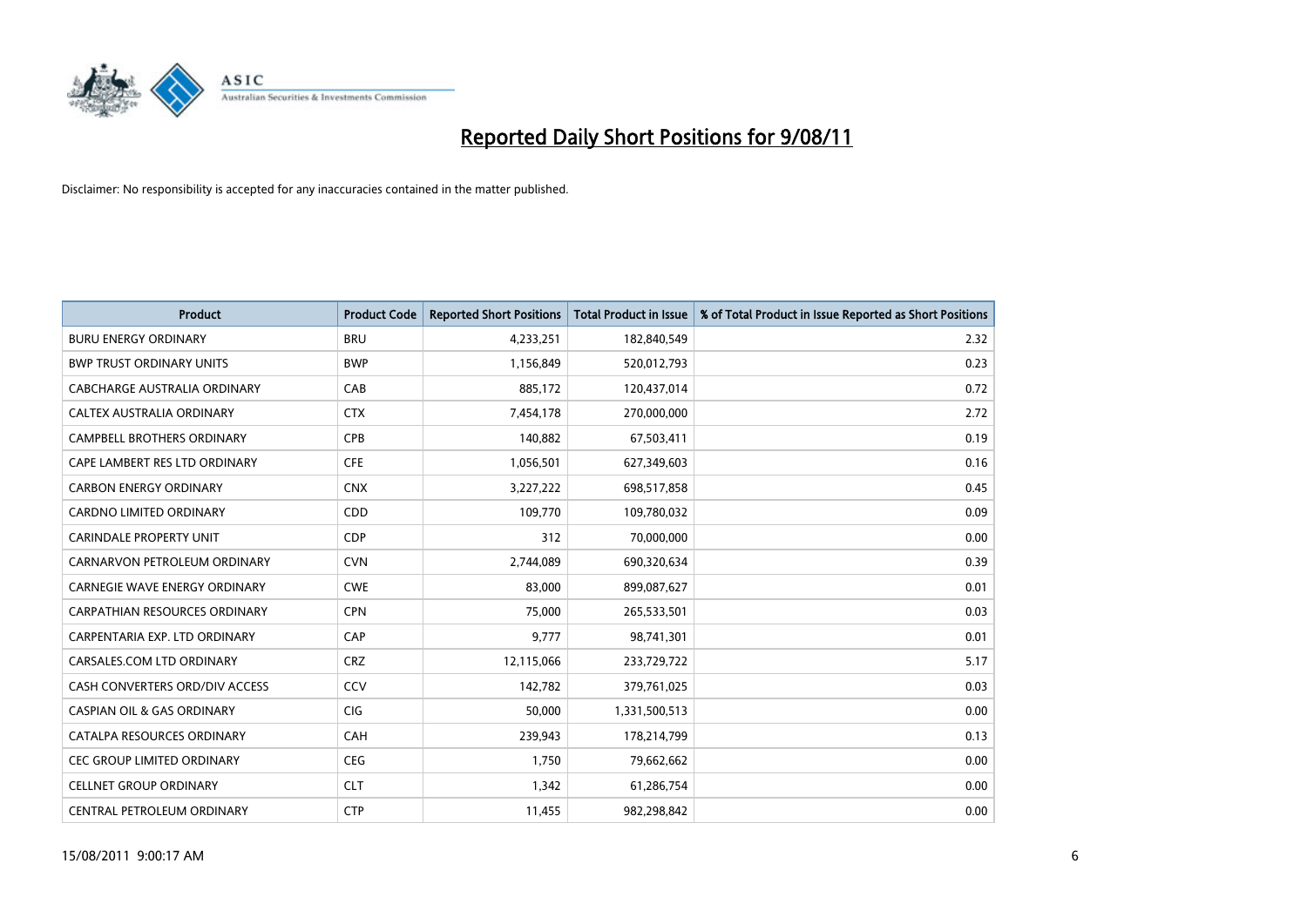

| <b>Product</b>                        | <b>Product Code</b> | <b>Reported Short Positions</b> | <b>Total Product in Issue</b> | % of Total Product in Issue Reported as Short Positions |
|---------------------------------------|---------------------|---------------------------------|-------------------------------|---------------------------------------------------------|
| <b>BURU ENERGY ORDINARY</b>           | <b>BRU</b>          | 4,233,251                       | 182,840,549                   | 2.32                                                    |
| <b>BWP TRUST ORDINARY UNITS</b>       | <b>BWP</b>          | 1,156,849                       | 520,012,793                   | 0.23                                                    |
| CABCHARGE AUSTRALIA ORDINARY          | CAB                 | 885.172                         | 120,437,014                   | 0.72                                                    |
| CALTEX AUSTRALIA ORDINARY             | <b>CTX</b>          | 7,454,178                       | 270,000,000                   | 2.72                                                    |
| <b>CAMPBELL BROTHERS ORDINARY</b>     | <b>CPB</b>          | 140,882                         | 67,503,411                    | 0.19                                                    |
| CAPE LAMBERT RES LTD ORDINARY         | <b>CFE</b>          | 1,056,501                       | 627,349,603                   | 0.16                                                    |
| <b>CARBON ENERGY ORDINARY</b>         | <b>CNX</b>          | 3,227,222                       | 698,517,858                   | 0.45                                                    |
| <b>CARDNO LIMITED ORDINARY</b>        | <b>CDD</b>          | 109,770                         | 109,780,032                   | 0.09                                                    |
| CARINDALE PROPERTY UNIT               | <b>CDP</b>          | 312                             | 70,000,000                    | 0.00                                                    |
| CARNARVON PETROLEUM ORDINARY          | <b>CVN</b>          | 2,744,089                       | 690,320,634                   | 0.39                                                    |
| CARNEGIE WAVE ENERGY ORDINARY         | <b>CWE</b>          | 83,000                          | 899,087,627                   | 0.01                                                    |
| <b>CARPATHIAN RESOURCES ORDINARY</b>  | <b>CPN</b>          | 75,000                          | 265,533,501                   | 0.03                                                    |
| CARPENTARIA EXP. LTD ORDINARY         | CAP                 | 9,777                           | 98,741,301                    | 0.01                                                    |
| CARSALES.COM LTD ORDINARY             | <b>CRZ</b>          | 12,115,066                      | 233,729,722                   | 5.17                                                    |
| CASH CONVERTERS ORD/DIV ACCESS        | CCV                 | 142,782                         | 379,761,025                   | 0.03                                                    |
| <b>CASPIAN OIL &amp; GAS ORDINARY</b> | CIG                 | 50,000                          | 1,331,500,513                 | 0.00                                                    |
| CATALPA RESOURCES ORDINARY            | CAH                 | 239,943                         | 178,214,799                   | 0.13                                                    |
| CEC GROUP LIMITED ORDINARY            | <b>CEG</b>          | 1,750                           | 79,662,662                    | 0.00                                                    |
| <b>CELLNET GROUP ORDINARY</b>         | <b>CLT</b>          | 1,342                           | 61,286,754                    | 0.00                                                    |
| CENTRAL PETROLEUM ORDINARY            | <b>CTP</b>          | 11,455                          | 982,298,842                   | 0.00                                                    |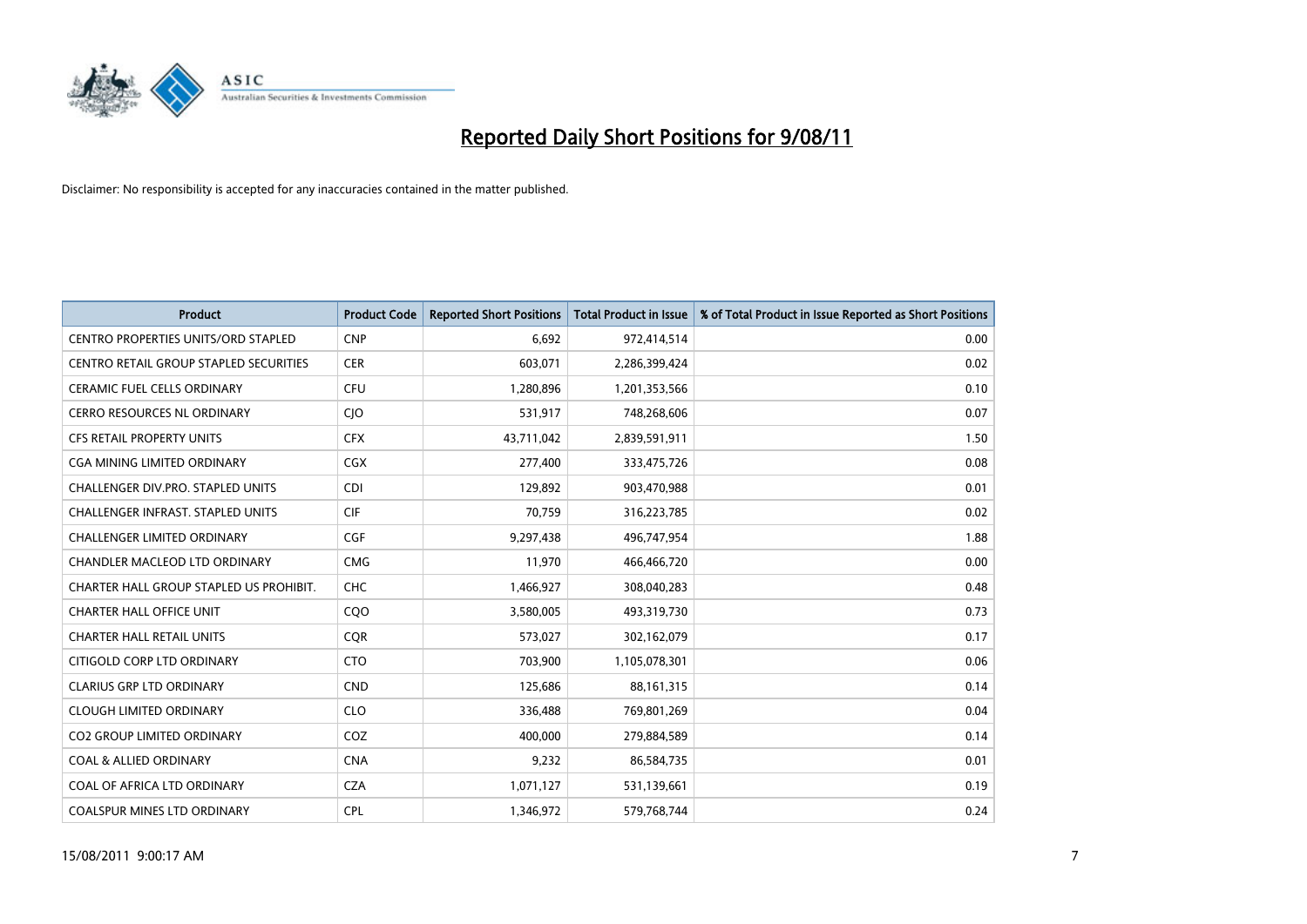

| <b>Product</b>                                | <b>Product Code</b> | <b>Reported Short Positions</b> | <b>Total Product in Issue</b> | % of Total Product in Issue Reported as Short Positions |
|-----------------------------------------------|---------------------|---------------------------------|-------------------------------|---------------------------------------------------------|
| <b>CENTRO PROPERTIES UNITS/ORD STAPLED</b>    | <b>CNP</b>          | 6,692                           | 972,414,514                   | 0.00                                                    |
| <b>CENTRO RETAIL GROUP STAPLED SECURITIES</b> | <b>CER</b>          | 603,071                         | 2,286,399,424                 | 0.02                                                    |
| <b>CERAMIC FUEL CELLS ORDINARY</b>            | <b>CFU</b>          | 1,280,896                       | 1,201,353,566                 | 0.10                                                    |
| CERRO RESOURCES NL ORDINARY                   | <b>CIO</b>          | 531,917                         | 748,268,606                   | 0.07                                                    |
| <b>CFS RETAIL PROPERTY UNITS</b>              | <b>CFX</b>          | 43,711,042                      | 2,839,591,911                 | 1.50                                                    |
| CGA MINING LIMITED ORDINARY                   | <b>CGX</b>          | 277,400                         | 333,475,726                   | 0.08                                                    |
| CHALLENGER DIV.PRO. STAPLED UNITS             | <b>CDI</b>          | 129.892                         | 903,470,988                   | 0.01                                                    |
| <b>CHALLENGER INFRAST, STAPLED UNITS</b>      | <b>CIF</b>          | 70,759                          | 316,223,785                   | 0.02                                                    |
| CHALLENGER LIMITED ORDINARY                   | <b>CGF</b>          | 9,297,438                       | 496,747,954                   | 1.88                                                    |
| CHANDLER MACLEOD LTD ORDINARY                 | <b>CMG</b>          | 11,970                          | 466,466,720                   | 0.00                                                    |
| CHARTER HALL GROUP STAPLED US PROHIBIT.       | <b>CHC</b>          | 1,466,927                       | 308,040,283                   | 0.48                                                    |
| <b>CHARTER HALL OFFICE UNIT</b>               | CQO                 | 3,580,005                       | 493,319,730                   | 0.73                                                    |
| <b>CHARTER HALL RETAIL UNITS</b>              | <b>COR</b>          | 573,027                         | 302,162,079                   | 0.17                                                    |
| CITIGOLD CORP LTD ORDINARY                    | <b>CTO</b>          | 703.900                         | 1,105,078,301                 | 0.06                                                    |
| <b>CLARIUS GRP LTD ORDINARY</b>               | <b>CND</b>          | 125,686                         | 88,161,315                    | 0.14                                                    |
| <b>CLOUGH LIMITED ORDINARY</b>                | <b>CLO</b>          | 336,488                         | 769,801,269                   | 0.04                                                    |
| <b>CO2 GROUP LIMITED ORDINARY</b>             | COZ                 | 400,000                         | 279,884,589                   | 0.14                                                    |
| <b>COAL &amp; ALLIED ORDINARY</b>             | <b>CNA</b>          | 9,232                           | 86,584,735                    | 0.01                                                    |
| COAL OF AFRICA LTD ORDINARY                   | <b>CZA</b>          | 1,071,127                       | 531,139,661                   | 0.19                                                    |
| <b>COALSPUR MINES LTD ORDINARY</b>            | <b>CPL</b>          | 1.346.972                       | 579,768,744                   | 0.24                                                    |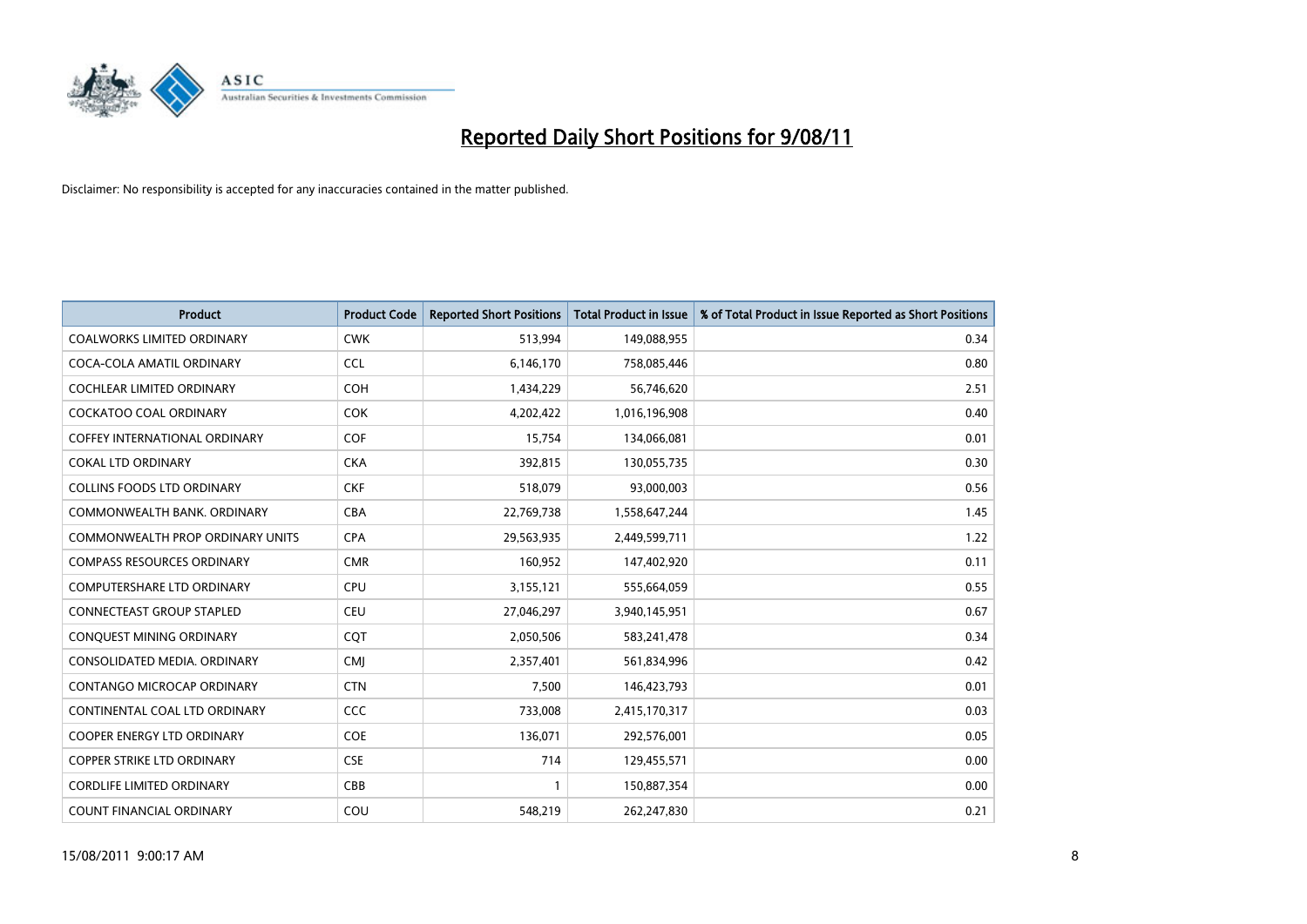

| <b>Product</b>                       | <b>Product Code</b> | <b>Reported Short Positions</b> | <b>Total Product in Issue</b> | % of Total Product in Issue Reported as Short Positions |
|--------------------------------------|---------------------|---------------------------------|-------------------------------|---------------------------------------------------------|
| <b>COALWORKS LIMITED ORDINARY</b>    | <b>CWK</b>          | 513,994                         | 149,088,955                   | 0.34                                                    |
| COCA-COLA AMATIL ORDINARY            | <b>CCL</b>          | 6,146,170                       | 758,085,446                   | 0.80                                                    |
| <b>COCHLEAR LIMITED ORDINARY</b>     | <b>COH</b>          | 1,434,229                       | 56,746,620                    | 2.51                                                    |
| COCKATOO COAL ORDINARY               | <b>COK</b>          | 4,202,422                       | 1,016,196,908                 | 0.40                                                    |
| <b>COFFEY INTERNATIONAL ORDINARY</b> | COF                 | 15,754                          | 134,066,081                   | 0.01                                                    |
| <b>COKAL LTD ORDINARY</b>            | <b>CKA</b>          | 392,815                         | 130,055,735                   | 0.30                                                    |
| <b>COLLINS FOODS LTD ORDINARY</b>    | <b>CKF</b>          | 518,079                         | 93,000,003                    | 0.56                                                    |
| COMMONWEALTH BANK, ORDINARY          | <b>CBA</b>          | 22,769,738                      | 1,558,647,244                 | 1.45                                                    |
| COMMONWEALTH PROP ORDINARY UNITS     | <b>CPA</b>          | 29,563,935                      | 2,449,599,711                 | 1.22                                                    |
| <b>COMPASS RESOURCES ORDINARY</b>    | <b>CMR</b>          | 160,952                         | 147,402,920                   | 0.11                                                    |
| COMPUTERSHARE LTD ORDINARY           | <b>CPU</b>          | 3,155,121                       | 555,664,059                   | 0.55                                                    |
| <b>CONNECTEAST GROUP STAPLED</b>     | <b>CEU</b>          | 27,046,297                      | 3,940,145,951                 | 0.67                                                    |
| CONQUEST MINING ORDINARY             | CQT                 | 2,050,506                       | 583,241,478                   | 0.34                                                    |
| CONSOLIDATED MEDIA, ORDINARY         | <b>CMI</b>          | 2,357,401                       | 561,834,996                   | 0.42                                                    |
| CONTANGO MICROCAP ORDINARY           | <b>CTN</b>          | 7,500                           | 146,423,793                   | 0.01                                                    |
| CONTINENTAL COAL LTD ORDINARY        | CCC                 | 733,008                         | 2,415,170,317                 | 0.03                                                    |
| <b>COOPER ENERGY LTD ORDINARY</b>    | <b>COE</b>          | 136,071                         | 292,576,001                   | 0.05                                                    |
| <b>COPPER STRIKE LTD ORDINARY</b>    | <b>CSE</b>          | 714                             | 129,455,571                   | 0.00                                                    |
| <b>CORDLIFE LIMITED ORDINARY</b>     | CBB                 |                                 | 150,887,354                   | 0.00                                                    |
| <b>COUNT FINANCIAL ORDINARY</b>      | COU                 | 548,219                         | 262,247,830                   | 0.21                                                    |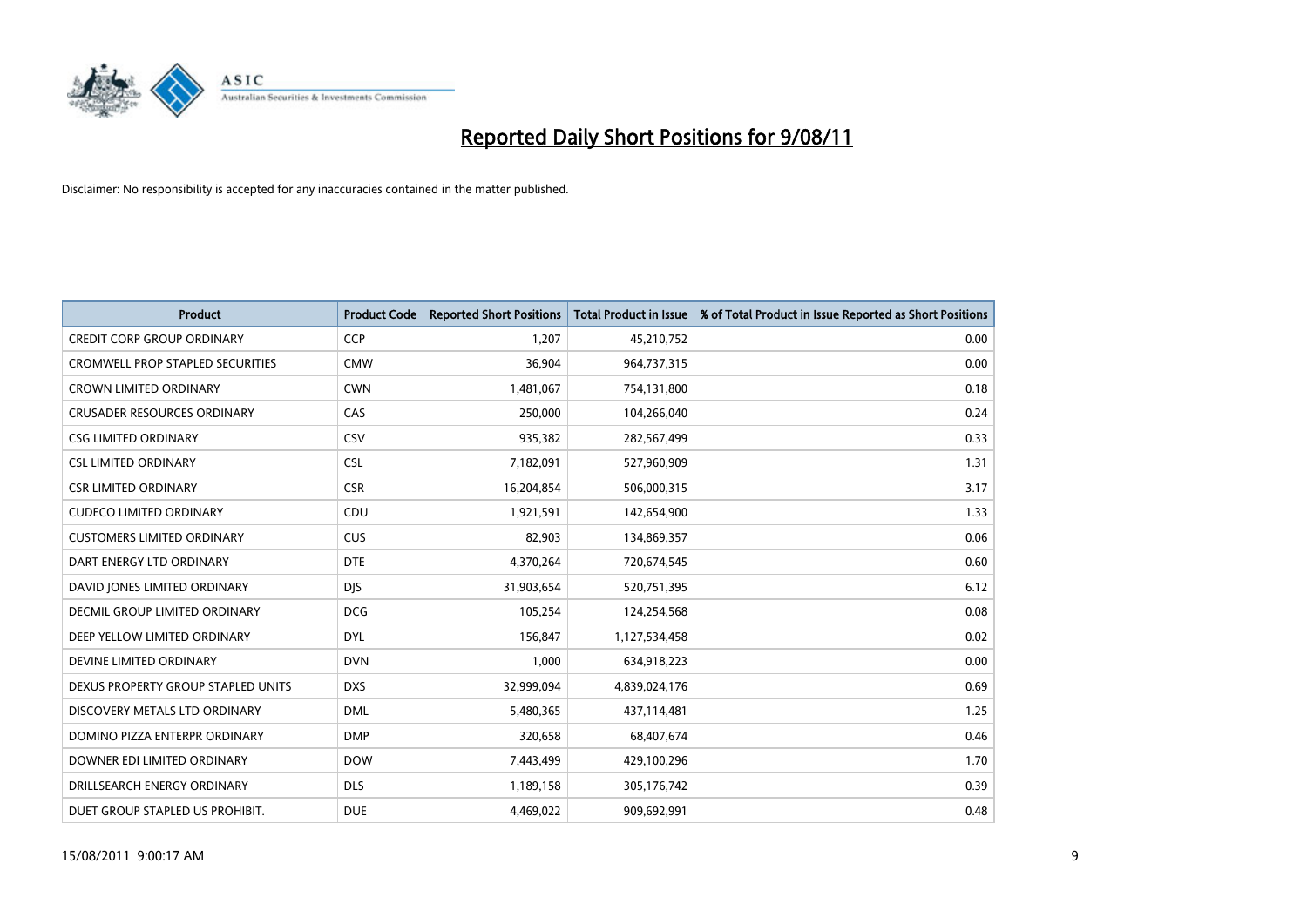

| <b>Product</b>                          | <b>Product Code</b> | <b>Reported Short Positions</b> | <b>Total Product in Issue</b> | % of Total Product in Issue Reported as Short Positions |
|-----------------------------------------|---------------------|---------------------------------|-------------------------------|---------------------------------------------------------|
| <b>CREDIT CORP GROUP ORDINARY</b>       | <b>CCP</b>          | 1,207                           | 45,210,752                    | 0.00                                                    |
| <b>CROMWELL PROP STAPLED SECURITIES</b> | <b>CMW</b>          | 36,904                          | 964,737,315                   | 0.00                                                    |
| <b>CROWN LIMITED ORDINARY</b>           | <b>CWN</b>          | 1,481,067                       | 754,131,800                   | 0.18                                                    |
| <b>CRUSADER RESOURCES ORDINARY</b>      | CAS                 | 250,000                         | 104,266,040                   | 0.24                                                    |
| <b>CSG LIMITED ORDINARY</b>             | CSV                 | 935,382                         | 282,567,499                   | 0.33                                                    |
| <b>CSL LIMITED ORDINARY</b>             | <b>CSL</b>          | 7,182,091                       | 527,960,909                   | 1.31                                                    |
| <b>CSR LIMITED ORDINARY</b>             | <b>CSR</b>          | 16,204,854                      | 506,000,315                   | 3.17                                                    |
| <b>CUDECO LIMITED ORDINARY</b>          | CDU                 | 1,921,591                       | 142,654,900                   | 1.33                                                    |
| <b>CUSTOMERS LIMITED ORDINARY</b>       | <b>CUS</b>          | 82,903                          | 134,869,357                   | 0.06                                                    |
| DART ENERGY LTD ORDINARY                | <b>DTE</b>          | 4,370,264                       | 720,674,545                   | 0.60                                                    |
| DAVID JONES LIMITED ORDINARY            | <b>DJS</b>          | 31,903,654                      | 520,751,395                   | 6.12                                                    |
| <b>DECMIL GROUP LIMITED ORDINARY</b>    | <b>DCG</b>          | 105,254                         | 124,254,568                   | 0.08                                                    |
| DEEP YELLOW LIMITED ORDINARY            | <b>DYL</b>          | 156,847                         | 1,127,534,458                 | 0.02                                                    |
| DEVINE LIMITED ORDINARY                 | <b>DVN</b>          | 1,000                           | 634,918,223                   | 0.00                                                    |
| DEXUS PROPERTY GROUP STAPLED UNITS      | <b>DXS</b>          | 32,999,094                      | 4,839,024,176                 | 0.69                                                    |
| DISCOVERY METALS LTD ORDINARY           | <b>DML</b>          | 5,480,365                       | 437,114,481                   | 1.25                                                    |
| DOMINO PIZZA ENTERPR ORDINARY           | <b>DMP</b>          | 320,658                         | 68,407,674                    | 0.46                                                    |
| DOWNER EDI LIMITED ORDINARY             | <b>DOW</b>          | 7,443,499                       | 429,100,296                   | 1.70                                                    |
| DRILLSEARCH ENERGY ORDINARY             | <b>DLS</b>          | 1,189,158                       | 305,176,742                   | 0.39                                                    |
| DUET GROUP STAPLED US PROHIBIT.         | <b>DUE</b>          | 4,469,022                       | 909.692.991                   | 0.48                                                    |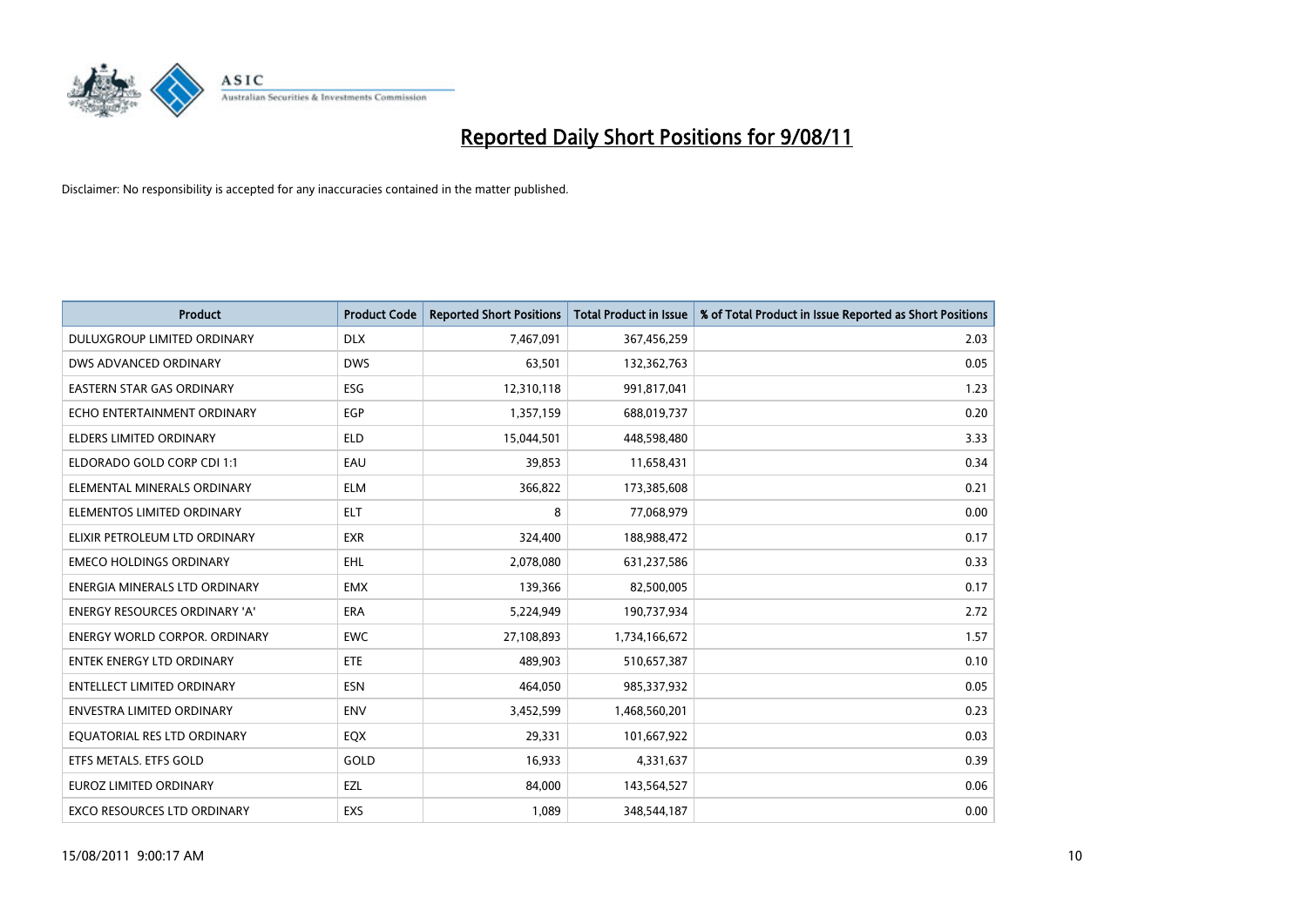

| <b>Product</b>                       | <b>Product Code</b> | <b>Reported Short Positions</b> | <b>Total Product in Issue</b> | % of Total Product in Issue Reported as Short Positions |
|--------------------------------------|---------------------|---------------------------------|-------------------------------|---------------------------------------------------------|
| DULUXGROUP LIMITED ORDINARY          | <b>DLX</b>          | 7,467,091                       | 367,456,259                   | 2.03                                                    |
| DWS ADVANCED ORDINARY                | <b>DWS</b>          | 63,501                          | 132,362,763                   | 0.05                                                    |
| EASTERN STAR GAS ORDINARY            | ESG                 | 12,310,118                      | 991,817,041                   | 1.23                                                    |
| ECHO ENTERTAINMENT ORDINARY          | EGP                 | 1,357,159                       | 688,019,737                   | 0.20                                                    |
| <b>ELDERS LIMITED ORDINARY</b>       | <b>ELD</b>          | 15,044,501                      | 448,598,480                   | 3.33                                                    |
| ELDORADO GOLD CORP CDI 1:1           | EAU                 | 39,853                          | 11,658,431                    | 0.34                                                    |
| ELEMENTAL MINERALS ORDINARY          | <b>ELM</b>          | 366,822                         | 173,385,608                   | 0.21                                                    |
| ELEMENTOS LIMITED ORDINARY           | <b>ELT</b>          | 8                               | 77,068,979                    | 0.00                                                    |
| ELIXIR PETROLEUM LTD ORDINARY        | <b>EXR</b>          | 324,400                         | 188,988,472                   | 0.17                                                    |
| <b>EMECO HOLDINGS ORDINARY</b>       | <b>EHL</b>          | 2,078,080                       | 631,237,586                   | 0.33                                                    |
| ENERGIA MINERALS LTD ORDINARY        | <b>EMX</b>          | 139,366                         | 82,500,005                    | 0.17                                                    |
| <b>ENERGY RESOURCES ORDINARY 'A'</b> | <b>ERA</b>          | 5,224,949                       | 190,737,934                   | 2.72                                                    |
| <b>ENERGY WORLD CORPOR, ORDINARY</b> | <b>EWC</b>          | 27,108,893                      | 1,734,166,672                 | 1.57                                                    |
| <b>ENTEK ENERGY LTD ORDINARY</b>     | ETE                 | 489.903                         | 510,657,387                   | 0.10                                                    |
| <b>ENTELLECT LIMITED ORDINARY</b>    | <b>ESN</b>          | 464,050                         | 985,337,932                   | 0.05                                                    |
| <b>ENVESTRA LIMITED ORDINARY</b>     | <b>ENV</b>          | 3,452,599                       | 1,468,560,201                 | 0.23                                                    |
| EQUATORIAL RES LTD ORDINARY          | EQX                 | 29,331                          | 101,667,922                   | 0.03                                                    |
| ETFS METALS. ETFS GOLD               | GOLD                | 16,933                          | 4,331,637                     | 0.39                                                    |
| <b>EUROZ LIMITED ORDINARY</b>        | EZL                 | 84,000                          | 143,564,527                   | 0.06                                                    |
| <b>EXCO RESOURCES LTD ORDINARY</b>   | EXS                 | 1.089                           | 348,544,187                   | 0.00                                                    |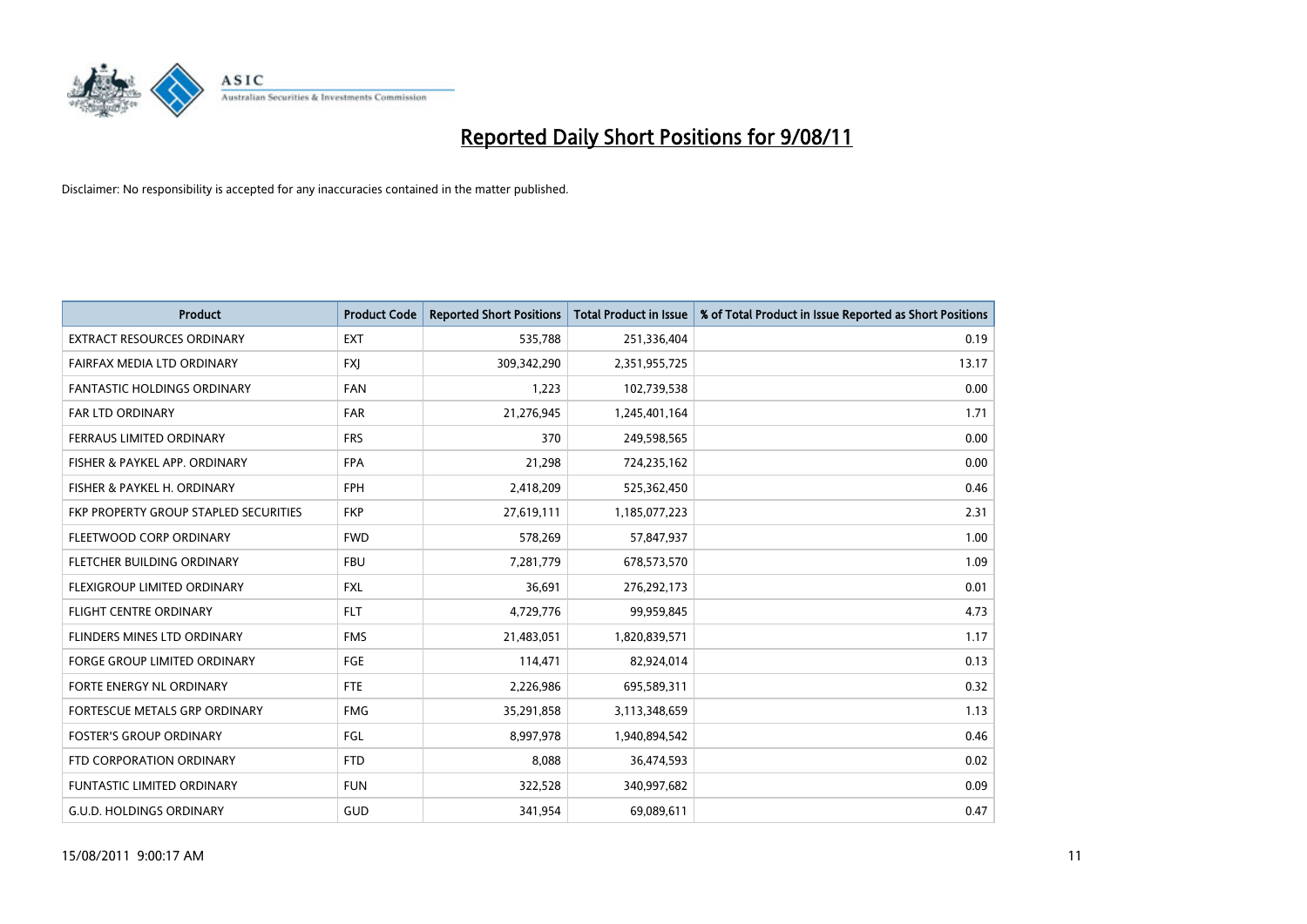

| <b>Product</b>                        | <b>Product Code</b> | <b>Reported Short Positions</b> | <b>Total Product in Issue</b> | % of Total Product in Issue Reported as Short Positions |
|---------------------------------------|---------------------|---------------------------------|-------------------------------|---------------------------------------------------------|
| <b>EXTRACT RESOURCES ORDINARY</b>     | <b>EXT</b>          | 535,788                         | 251,336,404                   | 0.19                                                    |
| FAIRFAX MEDIA LTD ORDINARY            | <b>FXI</b>          | 309,342,290                     | 2,351,955,725                 | 13.17                                                   |
| <b>FANTASTIC HOLDINGS ORDINARY</b>    | <b>FAN</b>          | 1,223                           | 102,739,538                   | 0.00                                                    |
| FAR LTD ORDINARY                      | <b>FAR</b>          | 21,276,945                      | 1,245,401,164                 | 1.71                                                    |
| FERRAUS LIMITED ORDINARY              | <b>FRS</b>          | 370                             | 249,598,565                   | 0.00                                                    |
| FISHER & PAYKEL APP. ORDINARY         | <b>FPA</b>          | 21,298                          | 724,235,162                   | 0.00                                                    |
| FISHER & PAYKEL H. ORDINARY           | <b>FPH</b>          | 2,418,209                       | 525,362,450                   | 0.46                                                    |
| FKP PROPERTY GROUP STAPLED SECURITIES | <b>FKP</b>          | 27,619,111                      | 1,185,077,223                 | 2.31                                                    |
| FLEETWOOD CORP ORDINARY               | <b>FWD</b>          | 578,269                         | 57,847,937                    | 1.00                                                    |
| FLETCHER BUILDING ORDINARY            | <b>FBU</b>          | 7,281,779                       | 678,573,570                   | 1.09                                                    |
| FLEXIGROUP LIMITED ORDINARY           | <b>FXL</b>          | 36,691                          | 276,292,173                   | 0.01                                                    |
| <b>FLIGHT CENTRE ORDINARY</b>         | <b>FLT</b>          | 4,729,776                       | 99,959,845                    | 4.73                                                    |
| FLINDERS MINES LTD ORDINARY           | <b>FMS</b>          | 21,483,051                      | 1,820,839,571                 | 1.17                                                    |
| <b>FORGE GROUP LIMITED ORDINARY</b>   | <b>FGE</b>          | 114,471                         | 82,924,014                    | 0.13                                                    |
| FORTE ENERGY NL ORDINARY              | <b>FTE</b>          | 2,226,986                       | 695,589,311                   | 0.32                                                    |
| FORTESCUE METALS GRP ORDINARY         | <b>FMG</b>          | 35,291,858                      | 3,113,348,659                 | 1.13                                                    |
| <b>FOSTER'S GROUP ORDINARY</b>        | FGL                 | 8,997,978                       | 1,940,894,542                 | 0.46                                                    |
| FTD CORPORATION ORDINARY              | <b>FTD</b>          | 8,088                           | 36,474,593                    | 0.02                                                    |
| <b>FUNTASTIC LIMITED ORDINARY</b>     | <b>FUN</b>          | 322,528                         | 340,997,682                   | 0.09                                                    |
| <b>G.U.D. HOLDINGS ORDINARY</b>       | GUD                 | 341,954                         | 69,089,611                    | 0.47                                                    |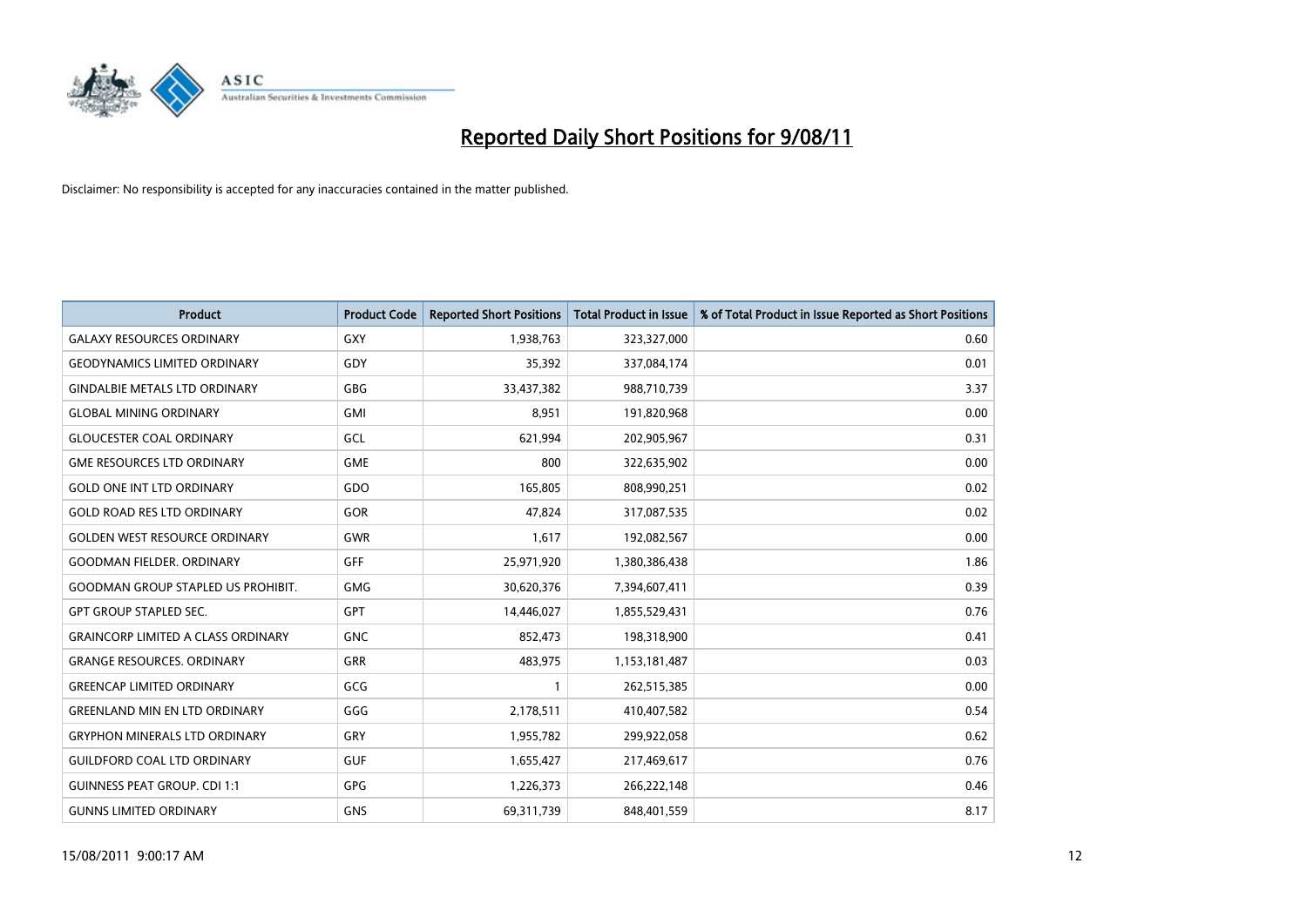

| <b>Product</b>                            | <b>Product Code</b> | <b>Reported Short Positions</b> | <b>Total Product in Issue</b> | % of Total Product in Issue Reported as Short Positions |
|-------------------------------------------|---------------------|---------------------------------|-------------------------------|---------------------------------------------------------|
| <b>GALAXY RESOURCES ORDINARY</b>          | GXY                 | 1,938,763                       | 323,327,000                   | 0.60                                                    |
| <b>GEODYNAMICS LIMITED ORDINARY</b>       | GDY                 | 35,392                          | 337,084,174                   | 0.01                                                    |
| <b>GINDALBIE METALS LTD ORDINARY</b>      | GBG                 | 33,437,382                      | 988,710,739                   | 3.37                                                    |
| <b>GLOBAL MINING ORDINARY</b>             | <b>GMI</b>          | 8,951                           | 191,820,968                   | 0.00                                                    |
| <b>GLOUCESTER COAL ORDINARY</b>           | GCL                 | 621,994                         | 202,905,967                   | 0.31                                                    |
| <b>GME RESOURCES LTD ORDINARY</b>         | <b>GME</b>          | 800                             | 322,635,902                   | 0.00                                                    |
| <b>GOLD ONE INT LTD ORDINARY</b>          | GDO                 | 165,805                         | 808,990,251                   | 0.02                                                    |
| <b>GOLD ROAD RES LTD ORDINARY</b>         | GOR                 | 47,824                          | 317,087,535                   | 0.02                                                    |
| <b>GOLDEN WEST RESOURCE ORDINARY</b>      | <b>GWR</b>          | 1,617                           | 192,082,567                   | 0.00                                                    |
| <b>GOODMAN FIELDER, ORDINARY</b>          | <b>GFF</b>          | 25,971,920                      | 1,380,386,438                 | 1.86                                                    |
| <b>GOODMAN GROUP STAPLED US PROHIBIT.</b> | <b>GMG</b>          | 30,620,376                      | 7,394,607,411                 | 0.39                                                    |
| <b>GPT GROUP STAPLED SEC.</b>             | <b>GPT</b>          | 14,446,027                      | 1,855,529,431                 | 0.76                                                    |
| <b>GRAINCORP LIMITED A CLASS ORDINARY</b> | <b>GNC</b>          | 852,473                         | 198,318,900                   | 0.41                                                    |
| <b>GRANGE RESOURCES, ORDINARY</b>         | <b>GRR</b>          | 483,975                         | 1,153,181,487                 | 0.03                                                    |
| <b>GREENCAP LIMITED ORDINARY</b>          | GCG                 |                                 | 262,515,385                   | 0.00                                                    |
| <b>GREENLAND MIN EN LTD ORDINARY</b>      | GGG                 | 2,178,511                       | 410,407,582                   | 0.54                                                    |
| <b>GRYPHON MINERALS LTD ORDINARY</b>      | GRY                 | 1,955,782                       | 299,922,058                   | 0.62                                                    |
| <b>GUILDFORD COAL LTD ORDINARY</b>        | <b>GUF</b>          | 1,655,427                       | 217,469,617                   | 0.76                                                    |
| <b>GUINNESS PEAT GROUP. CDI 1:1</b>       | <b>GPG</b>          | 1,226,373                       | 266,222,148                   | 0.46                                                    |
| <b>GUNNS LIMITED ORDINARY</b>             | <b>GNS</b>          | 69,311,739                      | 848,401,559                   | 8.17                                                    |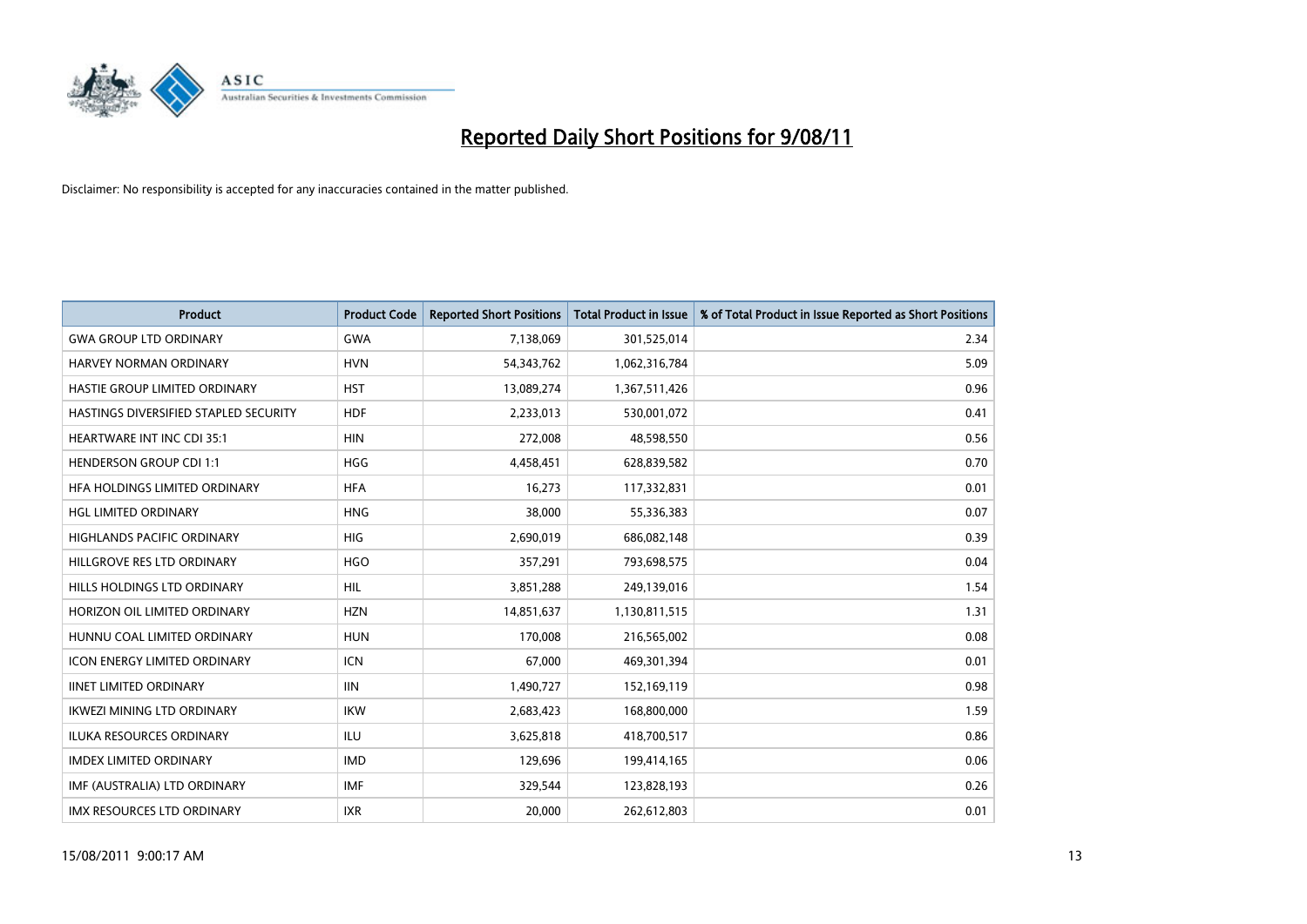

| <b>Product</b>                        | <b>Product Code</b> | <b>Reported Short Positions</b> | <b>Total Product in Issue</b> | % of Total Product in Issue Reported as Short Positions |
|---------------------------------------|---------------------|---------------------------------|-------------------------------|---------------------------------------------------------|
| <b>GWA GROUP LTD ORDINARY</b>         | <b>GWA</b>          | 7,138,069                       | 301,525,014                   | 2.34                                                    |
| HARVEY NORMAN ORDINARY                | <b>HVN</b>          | 54,343,762                      | 1,062,316,784                 | 5.09                                                    |
| HASTIE GROUP LIMITED ORDINARY         | <b>HST</b>          | 13,089,274                      | 1,367,511,426                 | 0.96                                                    |
| HASTINGS DIVERSIFIED STAPLED SECURITY | <b>HDF</b>          | 2,233,013                       | 530,001,072                   | 0.41                                                    |
| <b>HEARTWARE INT INC CDI 35:1</b>     | <b>HIN</b>          | 272,008                         | 48,598,550                    | 0.56                                                    |
| <b>HENDERSON GROUP CDI 1:1</b>        | <b>HGG</b>          | 4,458,451                       | 628,839,582                   | 0.70                                                    |
| HFA HOLDINGS LIMITED ORDINARY         | <b>HFA</b>          | 16,273                          | 117,332,831                   | 0.01                                                    |
| HGL LIMITED ORDINARY                  | <b>HNG</b>          | 38,000                          | 55,336,383                    | 0.07                                                    |
| HIGHLANDS PACIFIC ORDINARY            | HIG                 | 2,690,019                       | 686,082,148                   | 0.39                                                    |
| HILLGROVE RES LTD ORDINARY            | <b>HGO</b>          | 357,291                         | 793,698,575                   | 0.04                                                    |
| HILLS HOLDINGS LTD ORDINARY           | <b>HIL</b>          | 3,851,288                       | 249,139,016                   | 1.54                                                    |
| HORIZON OIL LIMITED ORDINARY          | <b>HZN</b>          | 14,851,637                      | 1,130,811,515                 | 1.31                                                    |
| HUNNU COAL LIMITED ORDINARY           | <b>HUN</b>          | 170,008                         | 216,565,002                   | 0.08                                                    |
| <b>ICON ENERGY LIMITED ORDINARY</b>   | <b>ICN</b>          | 67,000                          | 469,301,394                   | 0.01                                                    |
| <b>IINET LIMITED ORDINARY</b>         | IIIN                | 1,490,727                       | 152,169,119                   | 0.98                                                    |
| <b>IKWEZI MINING LTD ORDINARY</b>     | <b>IKW</b>          | 2,683,423                       | 168,800,000                   | 1.59                                                    |
| <b>ILUKA RESOURCES ORDINARY</b>       | <b>ILU</b>          | 3,625,818                       | 418,700,517                   | 0.86                                                    |
| <b>IMDEX LIMITED ORDINARY</b>         | <b>IMD</b>          | 129,696                         | 199,414,165                   | 0.06                                                    |
| IMF (AUSTRALIA) LTD ORDINARY          | <b>IMF</b>          | 329,544                         | 123,828,193                   | 0.26                                                    |
| IMX RESOURCES LTD ORDINARY            | <b>IXR</b>          | 20,000                          | 262,612,803                   | 0.01                                                    |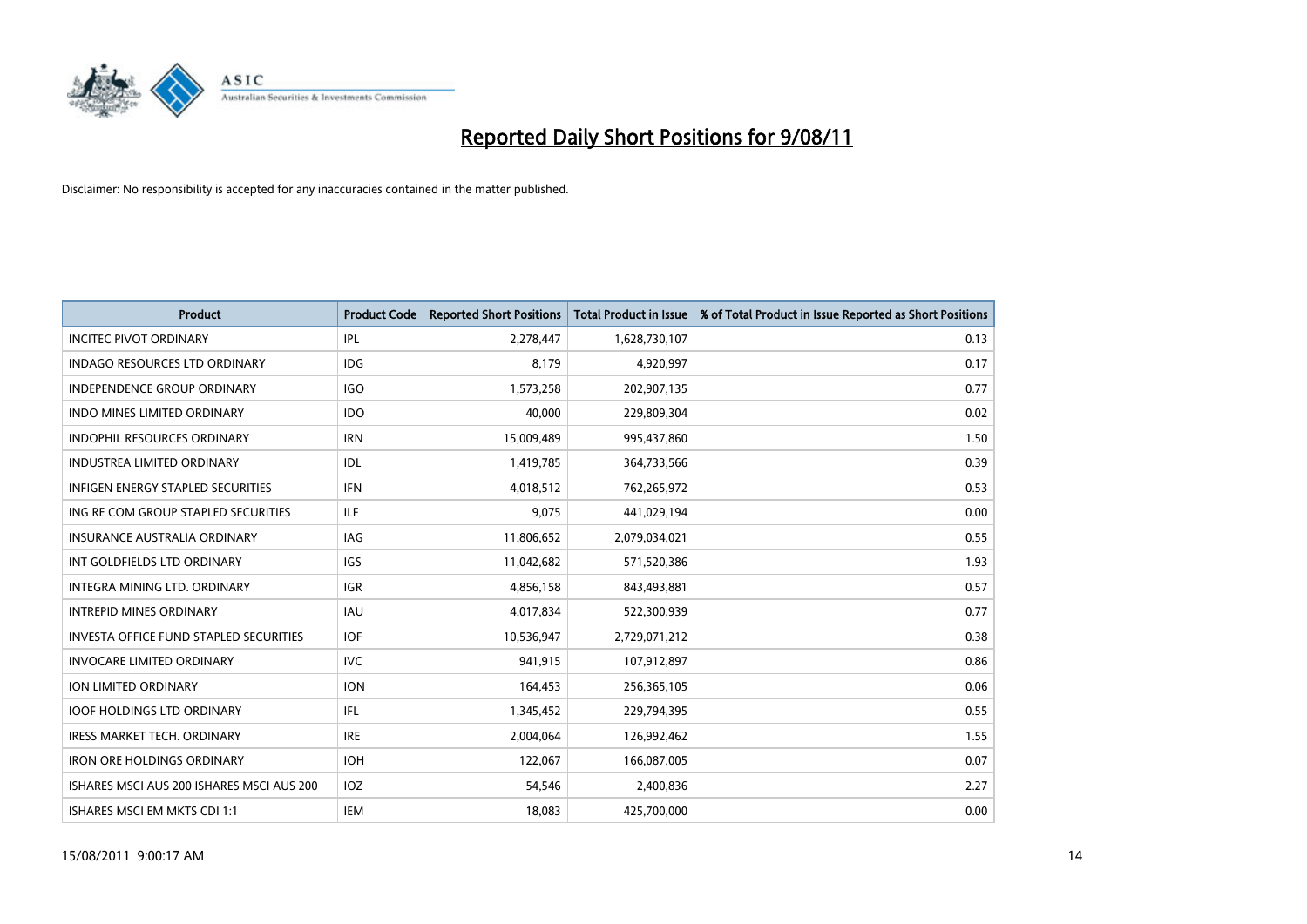

| <b>Product</b>                                | <b>Product Code</b> | <b>Reported Short Positions</b> | <b>Total Product in Issue</b> | % of Total Product in Issue Reported as Short Positions |
|-----------------------------------------------|---------------------|---------------------------------|-------------------------------|---------------------------------------------------------|
| <b>INCITEC PIVOT ORDINARY</b>                 | <b>IPL</b>          | 2,278,447                       | 1,628,730,107                 | 0.13                                                    |
| INDAGO RESOURCES LTD ORDINARY                 | <b>IDG</b>          | 8,179                           | 4,920,997                     | 0.17                                                    |
| <b>INDEPENDENCE GROUP ORDINARY</b>            | IGO                 | 1,573,258                       | 202,907,135                   | 0.77                                                    |
| <b>INDO MINES LIMITED ORDINARY</b>            | <b>IDO</b>          | 40,000                          | 229,809,304                   | 0.02                                                    |
| <b>INDOPHIL RESOURCES ORDINARY</b>            | <b>IRN</b>          | 15,009,489                      | 995,437,860                   | 1.50                                                    |
| <b>INDUSTREA LIMITED ORDINARY</b>             | IDL                 | 1,419,785                       | 364,733,566                   | 0.39                                                    |
| INFIGEN ENERGY STAPLED SECURITIES             | <b>IFN</b>          | 4,018,512                       | 762,265,972                   | 0.53                                                    |
| ING RE COM GROUP STAPLED SECURITIES           | ILF                 | 9,075                           | 441,029,194                   | 0.00                                                    |
| <b>INSURANCE AUSTRALIA ORDINARY</b>           | IAG                 | 11,806,652                      | 2,079,034,021                 | 0.55                                                    |
| INT GOLDFIELDS LTD ORDINARY                   | <b>IGS</b>          | 11,042,682                      | 571,520,386                   | 1.93                                                    |
| INTEGRA MINING LTD. ORDINARY                  | <b>IGR</b>          | 4,856,158                       | 843,493,881                   | 0.57                                                    |
| <b>INTREPID MINES ORDINARY</b>                | <b>IAU</b>          | 4,017,834                       | 522,300,939                   | 0.77                                                    |
| <b>INVESTA OFFICE FUND STAPLED SECURITIES</b> | <b>IOF</b>          | 10,536,947                      | 2,729,071,212                 | 0.38                                                    |
| <b>INVOCARE LIMITED ORDINARY</b>              | <b>IVC</b>          | 941,915                         | 107,912,897                   | 0.86                                                    |
| <b>ION LIMITED ORDINARY</b>                   | <b>ION</b>          | 164,453                         | 256,365,105                   | 0.06                                                    |
| <b>IOOF HOLDINGS LTD ORDINARY</b>             | IFL.                | 1,345,452                       | 229,794,395                   | 0.55                                                    |
| <b>IRESS MARKET TECH. ORDINARY</b>            | <b>IRE</b>          | 2,004,064                       | 126,992,462                   | 1.55                                                    |
| <b>IRON ORE HOLDINGS ORDINARY</b>             | <b>IOH</b>          | 122,067                         | 166,087,005                   | 0.07                                                    |
| ISHARES MSCI AUS 200 ISHARES MSCI AUS 200     | IOZ                 | 54,546                          | 2,400,836                     | 2.27                                                    |
| ISHARES MSCI EM MKTS CDI 1:1                  | <b>IEM</b>          | 18,083                          | 425,700,000                   | 0.00                                                    |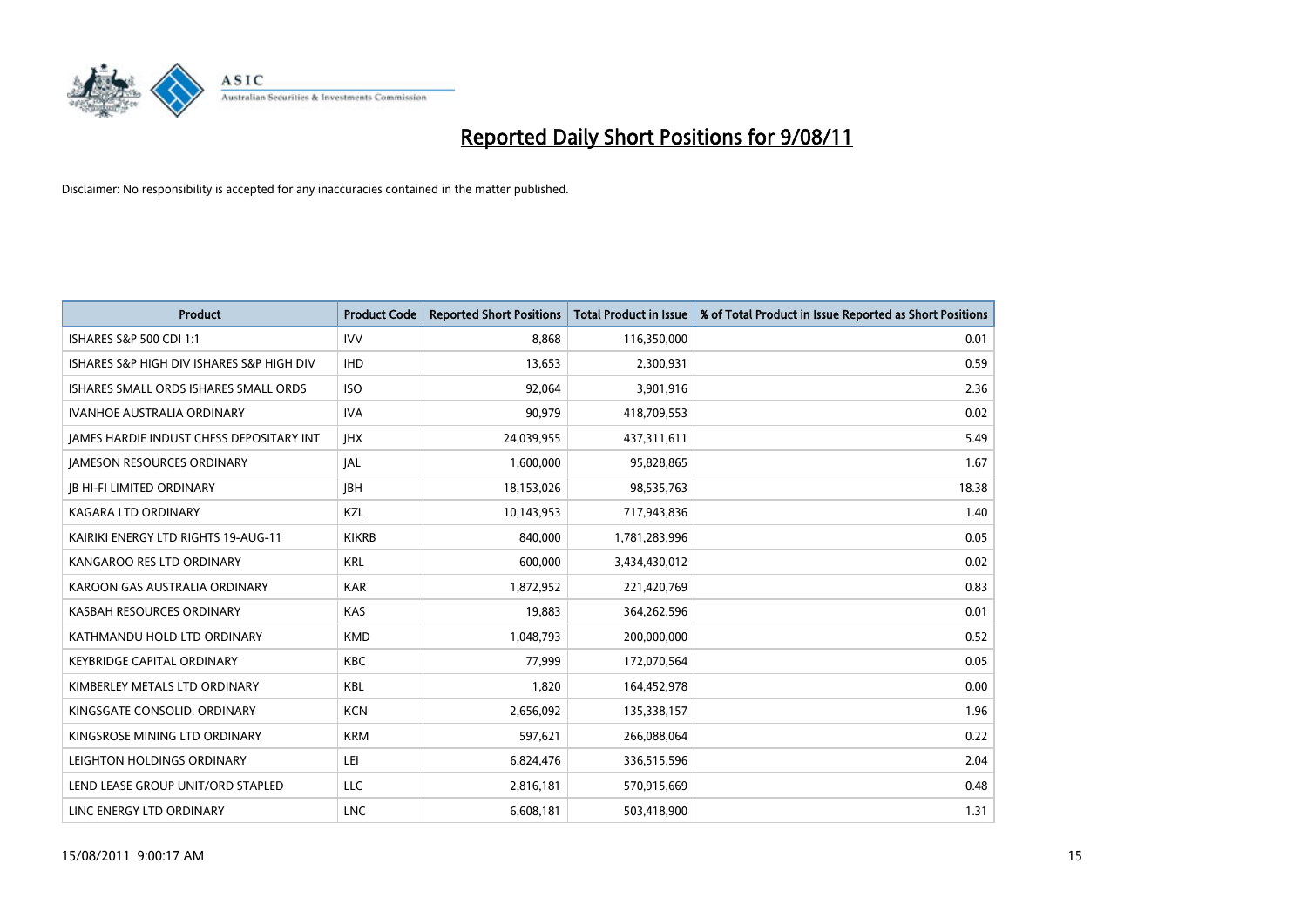

| <b>Product</b>                                  | <b>Product Code</b> | <b>Reported Short Positions</b> | <b>Total Product in Issue</b> | % of Total Product in Issue Reported as Short Positions |
|-------------------------------------------------|---------------------|---------------------------------|-------------------------------|---------------------------------------------------------|
| ISHARES S&P 500 CDI 1:1                         | <b>IVV</b>          | 8.868                           | 116,350,000                   | 0.01                                                    |
| ISHARES S&P HIGH DIV ISHARES S&P HIGH DIV       | <b>IHD</b>          | 13,653                          | 2,300,931                     | 0.59                                                    |
| ISHARES SMALL ORDS ISHARES SMALL ORDS           | <b>ISO</b>          | 92.064                          | 3,901,916                     | 2.36                                                    |
| IVANHOE AUSTRALIA ORDINARY                      | <b>IVA</b>          | 90,979                          | 418,709,553                   | 0.02                                                    |
| <b>JAMES HARDIE INDUST CHESS DEPOSITARY INT</b> | <b>IHX</b>          | 24,039,955                      | 437,311,611                   | 5.49                                                    |
| <b>JAMESON RESOURCES ORDINARY</b>               | <b>JAL</b>          | 1,600,000                       | 95,828,865                    | 1.67                                                    |
| <b>IB HI-FI LIMITED ORDINARY</b>                | <b>IBH</b>          | 18,153,026                      | 98,535,763                    | 18.38                                                   |
| <b>KAGARA LTD ORDINARY</b>                      | KZL                 | 10,143,953                      | 717,943,836                   | 1.40                                                    |
| KAIRIKI ENERGY LTD RIGHTS 19-AUG-11             | <b>KIKRB</b>        | 840.000                         | 1,781,283,996                 | 0.05                                                    |
| KANGAROO RES LTD ORDINARY                       | <b>KRL</b>          | 600,000                         | 3,434,430,012                 | 0.02                                                    |
| KAROON GAS AUSTRALIA ORDINARY                   | <b>KAR</b>          | 1,872,952                       | 221,420,769                   | 0.83                                                    |
| KASBAH RESOURCES ORDINARY                       | <b>KAS</b>          | 19,883                          | 364,262,596                   | 0.01                                                    |
| KATHMANDU HOLD LTD ORDINARY                     | <b>KMD</b>          | 1,048,793                       | 200,000,000                   | 0.52                                                    |
| KEYBRIDGE CAPITAL ORDINARY                      | <b>KBC</b>          | 77,999                          | 172,070,564                   | 0.05                                                    |
| KIMBERLEY METALS LTD ORDINARY                   | <b>KBL</b>          | 1,820                           | 164,452,978                   | 0.00                                                    |
| KINGSGATE CONSOLID. ORDINARY                    | <b>KCN</b>          | 2,656,092                       | 135,338,157                   | 1.96                                                    |
| KINGSROSE MINING LTD ORDINARY                   | <b>KRM</b>          | 597,621                         | 266,088,064                   | 0.22                                                    |
| LEIGHTON HOLDINGS ORDINARY                      | LEI                 | 6,824,476                       | 336,515,596                   | 2.04                                                    |
| LEND LEASE GROUP UNIT/ORD STAPLED               | LLC                 | 2,816,181                       | 570,915,669                   | 0.48                                                    |
| LINC ENERGY LTD ORDINARY                        | <b>LNC</b>          | 6,608,181                       | 503,418,900                   | 1.31                                                    |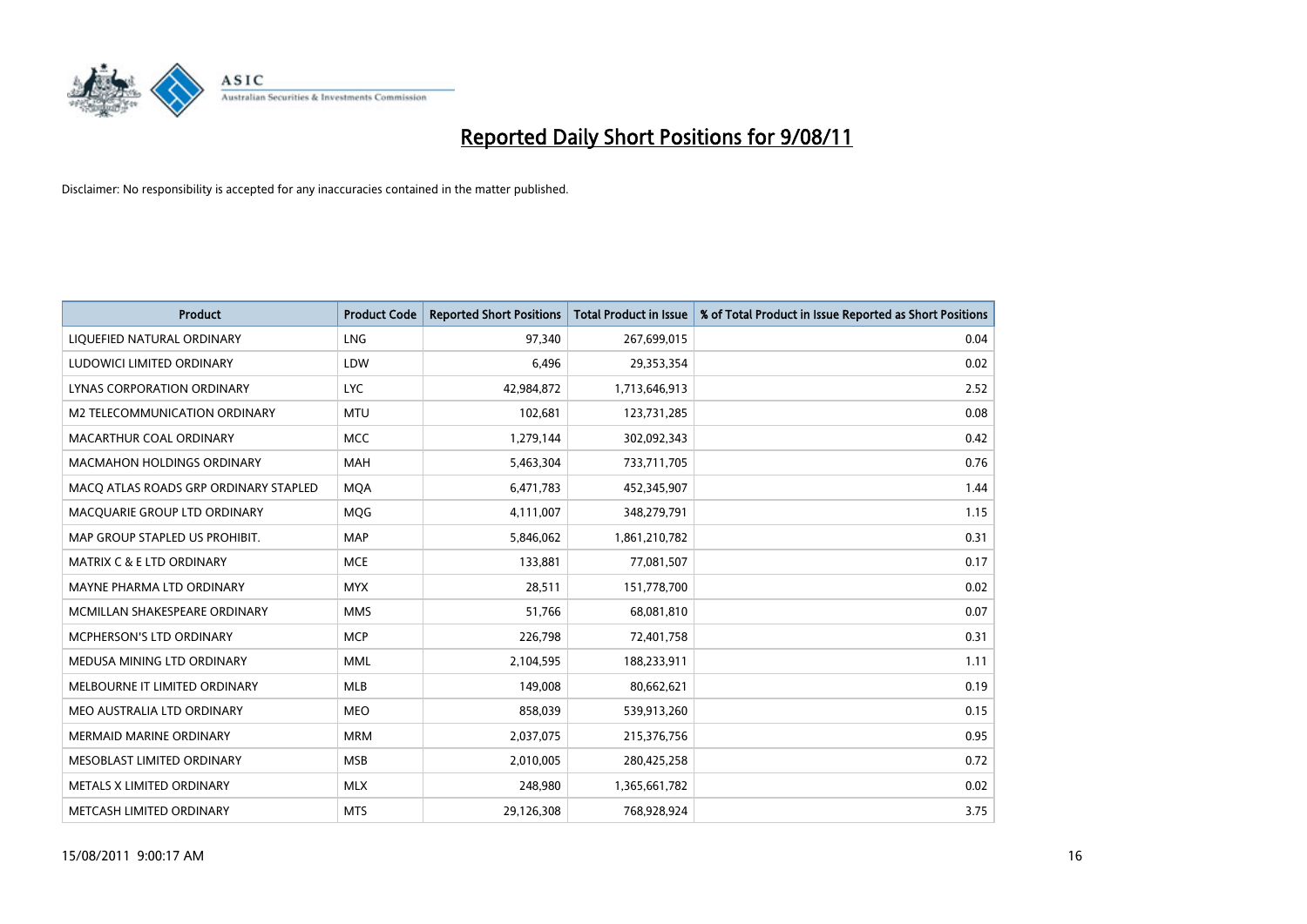

| <b>Product</b>                        | <b>Product Code</b> | <b>Reported Short Positions</b> | <b>Total Product in Issue</b> | % of Total Product in Issue Reported as Short Positions |
|---------------------------------------|---------------------|---------------------------------|-------------------------------|---------------------------------------------------------|
| LIQUEFIED NATURAL ORDINARY            | LNG                 | 97.340                          | 267,699,015                   | 0.04                                                    |
| LUDOWICI LIMITED ORDINARY             | LDW                 | 6,496                           | 29,353,354                    | 0.02                                                    |
| LYNAS CORPORATION ORDINARY            | <b>LYC</b>          | 42,984,872                      | 1,713,646,913                 | 2.52                                                    |
| M2 TELECOMMUNICATION ORDINARY         | <b>MTU</b>          | 102,681                         | 123,731,285                   | 0.08                                                    |
| MACARTHUR COAL ORDINARY               | <b>MCC</b>          | 1,279,144                       | 302,092,343                   | 0.42                                                    |
| <b>MACMAHON HOLDINGS ORDINARY</b>     | <b>MAH</b>          | 5,463,304                       | 733,711,705                   | 0.76                                                    |
| MACQ ATLAS ROADS GRP ORDINARY STAPLED | <b>MOA</b>          | 6,471,783                       | 452,345,907                   | 1.44                                                    |
| MACQUARIE GROUP LTD ORDINARY          | <b>MOG</b>          | 4,111,007                       | 348,279,791                   | 1.15                                                    |
| MAP GROUP STAPLED US PROHIBIT.        | <b>MAP</b>          | 5,846,062                       | 1,861,210,782                 | 0.31                                                    |
| <b>MATRIX C &amp; E LTD ORDINARY</b>  | <b>MCE</b>          | 133,881                         | 77,081,507                    | 0.17                                                    |
| MAYNE PHARMA LTD ORDINARY             | <b>MYX</b>          | 28,511                          | 151,778,700                   | 0.02                                                    |
| MCMILLAN SHAKESPEARE ORDINARY         | <b>MMS</b>          | 51,766                          | 68,081,810                    | 0.07                                                    |
| MCPHERSON'S LTD ORDINARY              | <b>MCP</b>          | 226,798                         | 72,401,758                    | 0.31                                                    |
| MEDUSA MINING LTD ORDINARY            | <b>MML</b>          | 2,104,595                       | 188,233,911                   | 1.11                                                    |
| MELBOURNE IT LIMITED ORDINARY         | <b>MLB</b>          | 149,008                         | 80,662,621                    | 0.19                                                    |
| MEO AUSTRALIA LTD ORDINARY            | <b>MEO</b>          | 858,039                         | 539,913,260                   | 0.15                                                    |
| <b>MERMAID MARINE ORDINARY</b>        | <b>MRM</b>          | 2,037,075                       | 215,376,756                   | 0.95                                                    |
| MESOBLAST LIMITED ORDINARY            | <b>MSB</b>          | 2,010,005                       | 280,425,258                   | 0.72                                                    |
| METALS X LIMITED ORDINARY             | <b>MLX</b>          | 248,980                         | 1,365,661,782                 | 0.02                                                    |
| METCASH LIMITED ORDINARY              | <b>MTS</b>          | 29,126,308                      | 768,928,924                   | 3.75                                                    |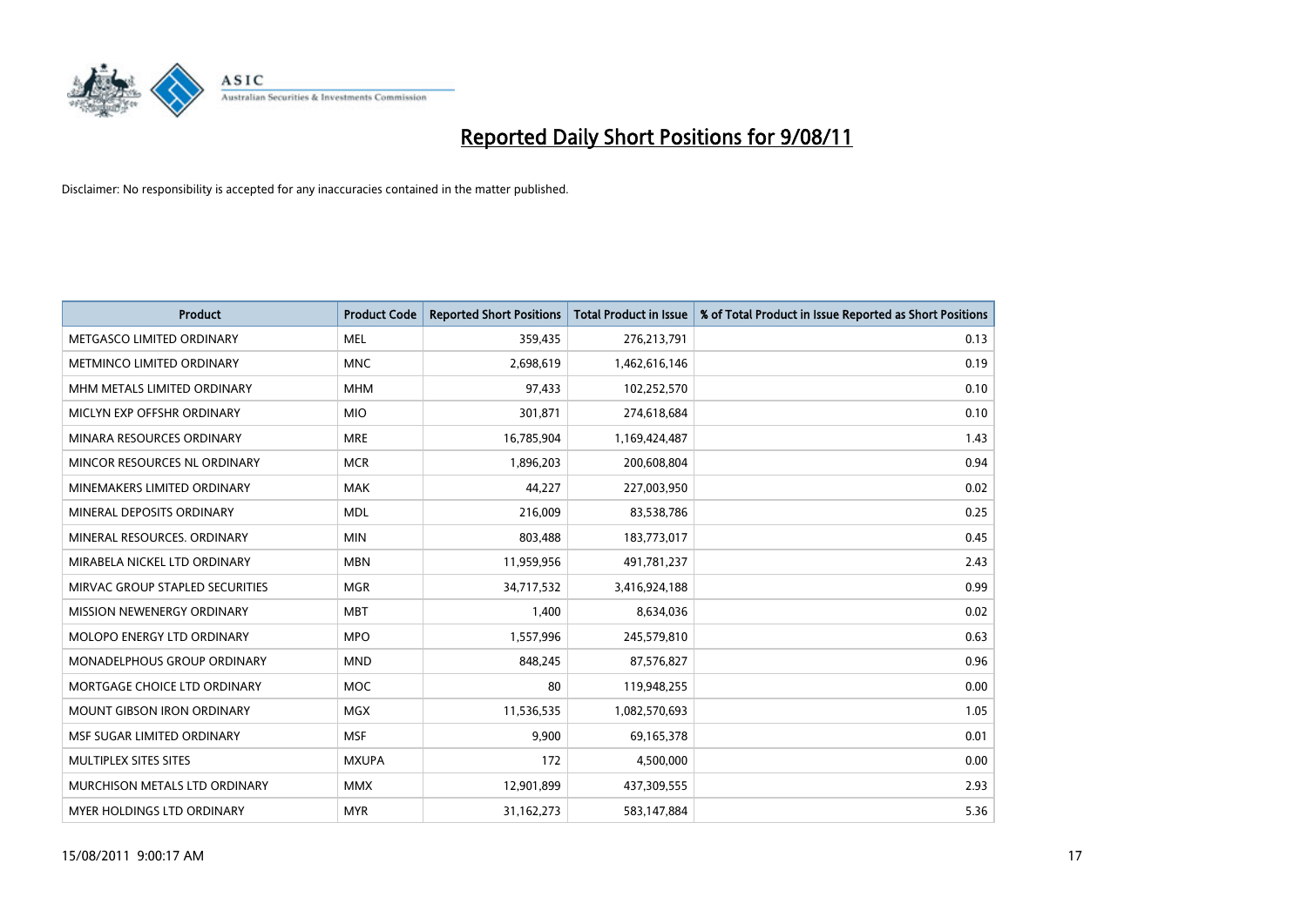

| <b>Product</b>                    | <b>Product Code</b> | <b>Reported Short Positions</b> | Total Product in Issue | % of Total Product in Issue Reported as Short Positions |
|-----------------------------------|---------------------|---------------------------------|------------------------|---------------------------------------------------------|
| METGASCO LIMITED ORDINARY         | <b>MEL</b>          | 359,435                         | 276,213,791            | 0.13                                                    |
| <b>METMINCO LIMITED ORDINARY</b>  | <b>MNC</b>          | 2,698,619                       | 1,462,616,146          | 0.19                                                    |
| MHM METALS LIMITED ORDINARY       | <b>MHM</b>          | 97,433                          | 102,252,570            | 0.10                                                    |
| MICLYN EXP OFFSHR ORDINARY        | <b>MIO</b>          | 301,871                         | 274,618,684            | 0.10                                                    |
| MINARA RESOURCES ORDINARY         | <b>MRE</b>          | 16,785,904                      | 1,169,424,487          | 1.43                                                    |
| MINCOR RESOURCES NL ORDINARY      | <b>MCR</b>          | 1,896,203                       | 200,608,804            | 0.94                                                    |
| MINEMAKERS LIMITED ORDINARY       | <b>MAK</b>          | 44,227                          | 227,003,950            | 0.02                                                    |
| MINERAL DEPOSITS ORDINARY         | <b>MDL</b>          | 216,009                         | 83,538,786             | 0.25                                                    |
| MINERAL RESOURCES, ORDINARY       | <b>MIN</b>          | 803,488                         | 183,773,017            | 0.45                                                    |
| MIRABELA NICKEL LTD ORDINARY      | <b>MBN</b>          | 11,959,956                      | 491,781,237            | 2.43                                                    |
| MIRVAC GROUP STAPLED SECURITIES   | <b>MGR</b>          | 34,717,532                      | 3,416,924,188          | 0.99                                                    |
| MISSION NEWENERGY ORDINARY        | <b>MBT</b>          | 1,400                           | 8,634,036              | 0.02                                                    |
| <b>MOLOPO ENERGY LTD ORDINARY</b> | <b>MPO</b>          | 1,557,996                       | 245,579,810            | 0.63                                                    |
| MONADELPHOUS GROUP ORDINARY       | <b>MND</b>          | 848,245                         | 87,576,827             | 0.96                                                    |
| MORTGAGE CHOICE LTD ORDINARY      | <b>MOC</b>          | 80                              | 119,948,255            | 0.00                                                    |
| <b>MOUNT GIBSON IRON ORDINARY</b> | <b>MGX</b>          | 11,536,535                      | 1,082,570,693          | 1.05                                                    |
| MSF SUGAR LIMITED ORDINARY        | <b>MSF</b>          | 9,900                           | 69,165,378             | 0.01                                                    |
| MULTIPLEX SITES SITES             | <b>MXUPA</b>        | 172                             | 4,500,000              | 0.00                                                    |
| MURCHISON METALS LTD ORDINARY     | <b>MMX</b>          | 12,901,899                      | 437,309,555            | 2.93                                                    |
| MYER HOLDINGS LTD ORDINARY        | <b>MYR</b>          | 31,162,273                      | 583,147,884            | 5.36                                                    |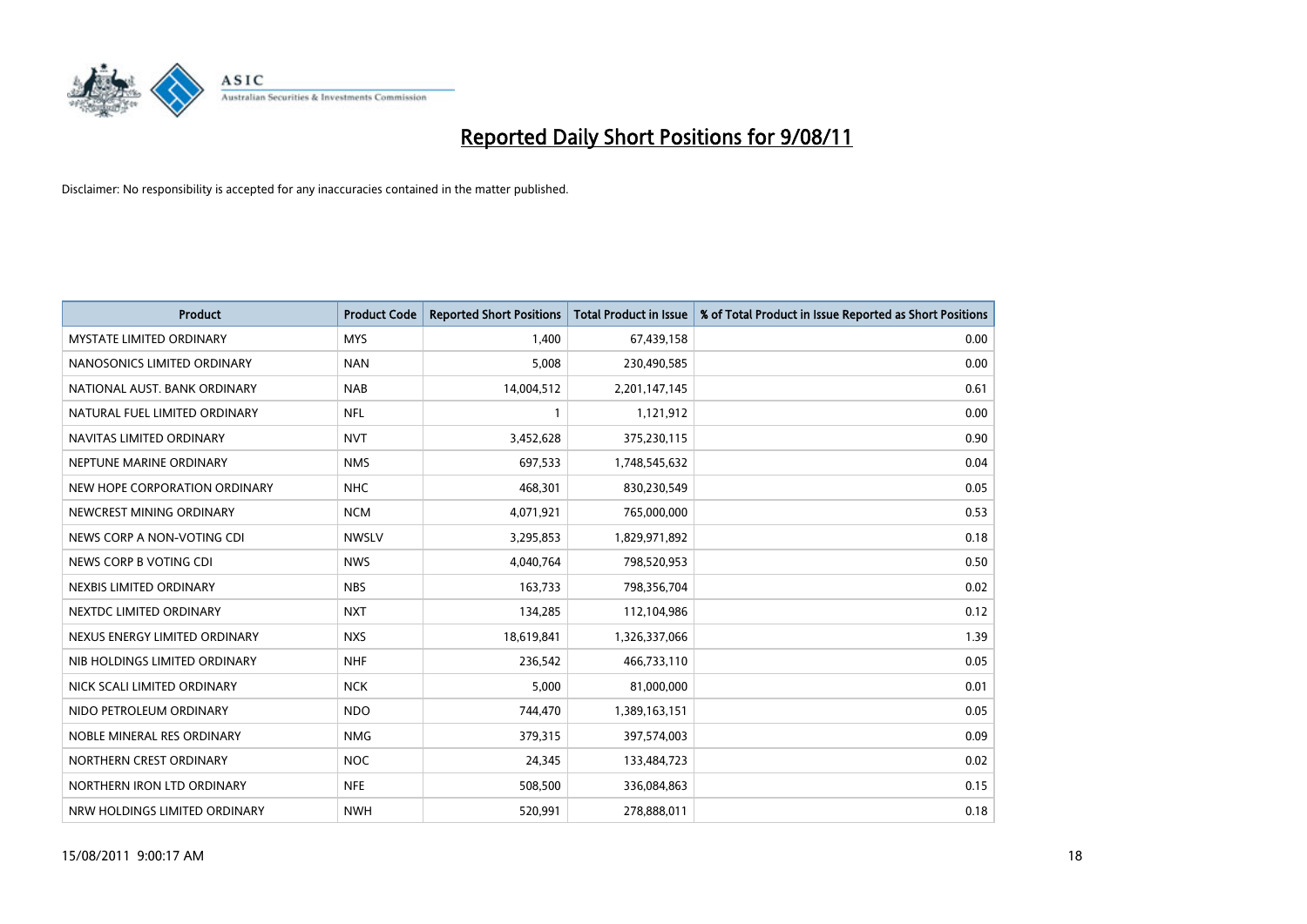

| <b>Product</b>                  | <b>Product Code</b> | <b>Reported Short Positions</b> | <b>Total Product in Issue</b> | % of Total Product in Issue Reported as Short Positions |
|---------------------------------|---------------------|---------------------------------|-------------------------------|---------------------------------------------------------|
| <b>MYSTATE LIMITED ORDINARY</b> | <b>MYS</b>          | 1,400                           | 67,439,158                    | 0.00                                                    |
| NANOSONICS LIMITED ORDINARY     | <b>NAN</b>          | 5,008                           | 230,490,585                   | 0.00                                                    |
| NATIONAL AUST. BANK ORDINARY    | <b>NAB</b>          | 14,004,512                      | 2,201,147,145                 | 0.61                                                    |
| NATURAL FUEL LIMITED ORDINARY   | <b>NFL</b>          |                                 | 1,121,912                     | 0.00                                                    |
| NAVITAS LIMITED ORDINARY        | <b>NVT</b>          | 3,452,628                       | 375,230,115                   | 0.90                                                    |
| NEPTUNE MARINE ORDINARY         | <b>NMS</b>          | 697,533                         | 1,748,545,632                 | 0.04                                                    |
| NEW HOPE CORPORATION ORDINARY   | <b>NHC</b>          | 468,301                         | 830,230,549                   | 0.05                                                    |
| NEWCREST MINING ORDINARY        | <b>NCM</b>          | 4,071,921                       | 765,000,000                   | 0.53                                                    |
| NEWS CORP A NON-VOTING CDI      | <b>NWSLV</b>        | 3,295,853                       | 1,829,971,892                 | 0.18                                                    |
| NEWS CORP B VOTING CDI          | <b>NWS</b>          | 4,040,764                       | 798,520,953                   | 0.50                                                    |
| NEXBIS LIMITED ORDINARY         | <b>NBS</b>          | 163,733                         | 798,356,704                   | 0.02                                                    |
| NEXTDC LIMITED ORDINARY         | <b>NXT</b>          | 134,285                         | 112,104,986                   | 0.12                                                    |
| NEXUS ENERGY LIMITED ORDINARY   | <b>NXS</b>          | 18,619,841                      | 1,326,337,066                 | 1.39                                                    |
| NIB HOLDINGS LIMITED ORDINARY   | <b>NHF</b>          | 236,542                         | 466,733,110                   | 0.05                                                    |
| NICK SCALI LIMITED ORDINARY     | <b>NCK</b>          | 5,000                           | 81,000,000                    | 0.01                                                    |
| NIDO PETROLEUM ORDINARY         | <b>NDO</b>          | 744,470                         | 1,389,163,151                 | 0.05                                                    |
| NOBLE MINERAL RES ORDINARY      | <b>NMG</b>          | 379,315                         | 397,574,003                   | 0.09                                                    |
| NORTHERN CREST ORDINARY         | <b>NOC</b>          | 24,345                          | 133,484,723                   | 0.02                                                    |
| NORTHERN IRON LTD ORDINARY      | <b>NFE</b>          | 508,500                         | 336,084,863                   | 0.15                                                    |
| NRW HOLDINGS LIMITED ORDINARY   | <b>NWH</b>          | 520,991                         | 278,888,011                   | 0.18                                                    |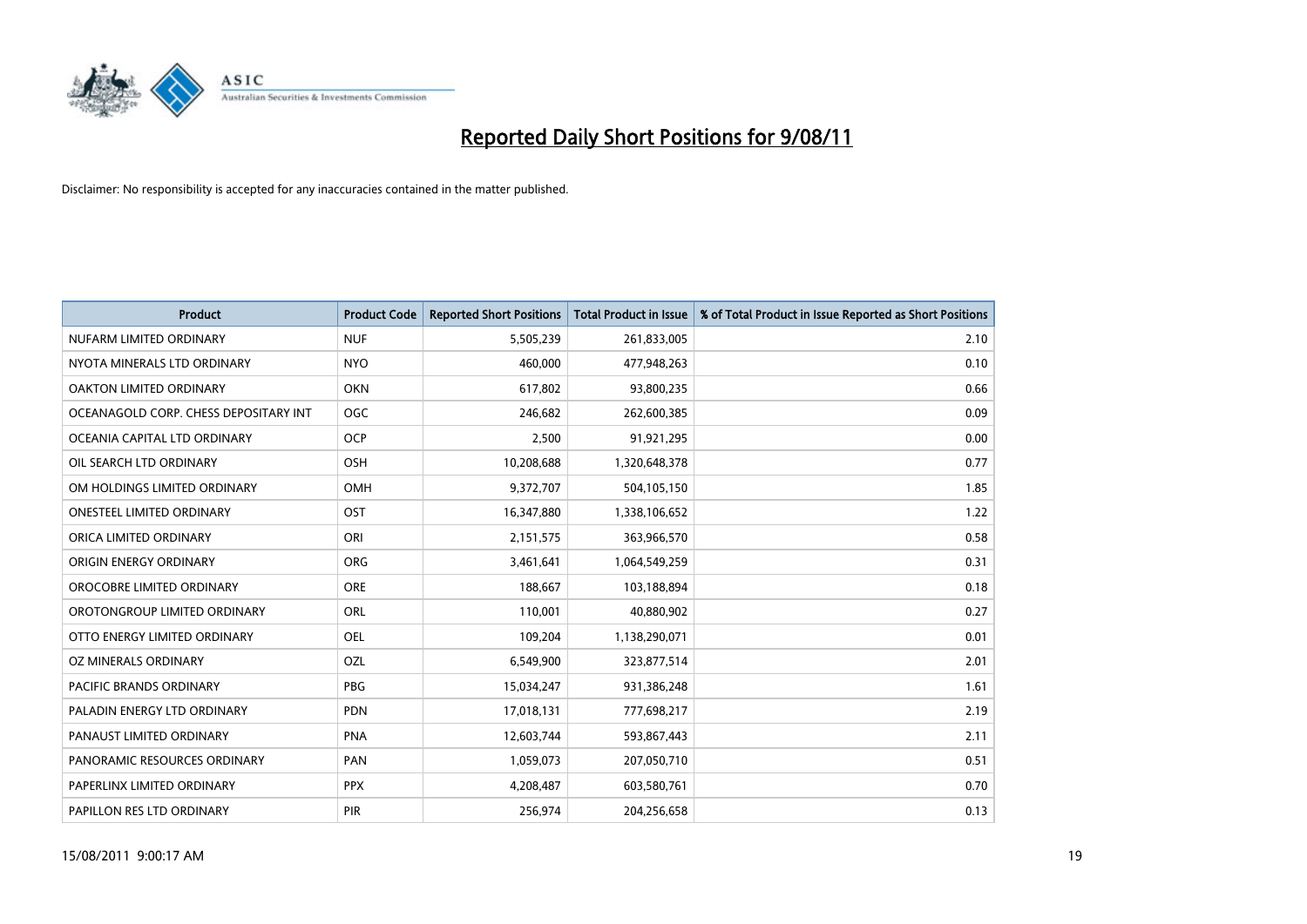

| <b>Product</b>                        | <b>Product Code</b> | <b>Reported Short Positions</b> | <b>Total Product in Issue</b> | % of Total Product in Issue Reported as Short Positions |
|---------------------------------------|---------------------|---------------------------------|-------------------------------|---------------------------------------------------------|
| NUFARM LIMITED ORDINARY               | <b>NUF</b>          | 5,505,239                       | 261,833,005                   | 2.10                                                    |
| NYOTA MINERALS LTD ORDINARY           | <b>NYO</b>          | 460,000                         | 477,948,263                   | 0.10                                                    |
| <b>OAKTON LIMITED ORDINARY</b>        | <b>OKN</b>          | 617,802                         | 93,800,235                    | 0.66                                                    |
| OCEANAGOLD CORP. CHESS DEPOSITARY INT | <b>OGC</b>          | 246,682                         | 262,600,385                   | 0.09                                                    |
| OCEANIA CAPITAL LTD ORDINARY          | <b>OCP</b>          | 2,500                           | 91,921,295                    | 0.00                                                    |
| OIL SEARCH LTD ORDINARY               | OSH                 | 10,208,688                      | 1,320,648,378                 | 0.77                                                    |
| OM HOLDINGS LIMITED ORDINARY          | <b>OMH</b>          | 9,372,707                       | 504,105,150                   | 1.85                                                    |
| <b>ONESTEEL LIMITED ORDINARY</b>      | OST                 | 16,347,880                      | 1,338,106,652                 | 1.22                                                    |
| ORICA LIMITED ORDINARY                | ORI                 | 2,151,575                       | 363,966,570                   | 0.58                                                    |
| ORIGIN ENERGY ORDINARY                | <b>ORG</b>          | 3,461,641                       | 1,064,549,259                 | 0.31                                                    |
| OROCOBRE LIMITED ORDINARY             | <b>ORE</b>          | 188,667                         | 103,188,894                   | 0.18                                                    |
| OROTONGROUP LIMITED ORDINARY          | <b>ORL</b>          | 110,001                         | 40,880,902                    | 0.27                                                    |
| OTTO ENERGY LIMITED ORDINARY          | <b>OEL</b>          | 109,204                         | 1,138,290,071                 | 0.01                                                    |
| OZ MINERALS ORDINARY                  | OZL                 | 6,549,900                       | 323,877,514                   | 2.01                                                    |
| <b>PACIFIC BRANDS ORDINARY</b>        | <b>PBG</b>          | 15,034,247                      | 931,386,248                   | 1.61                                                    |
| PALADIN ENERGY LTD ORDINARY           | PDN                 | 17,018,131                      | 777,698,217                   | 2.19                                                    |
| PANAUST LIMITED ORDINARY              | <b>PNA</b>          | 12,603,744                      | 593,867,443                   | 2.11                                                    |
| PANORAMIC RESOURCES ORDINARY          | PAN                 | 1,059,073                       | 207,050,710                   | 0.51                                                    |
| PAPERLINX LIMITED ORDINARY            | <b>PPX</b>          | 4,208,487                       | 603,580,761                   | 0.70                                                    |
| PAPILLON RES LTD ORDINARY             | PIR                 | 256,974                         | 204,256,658                   | 0.13                                                    |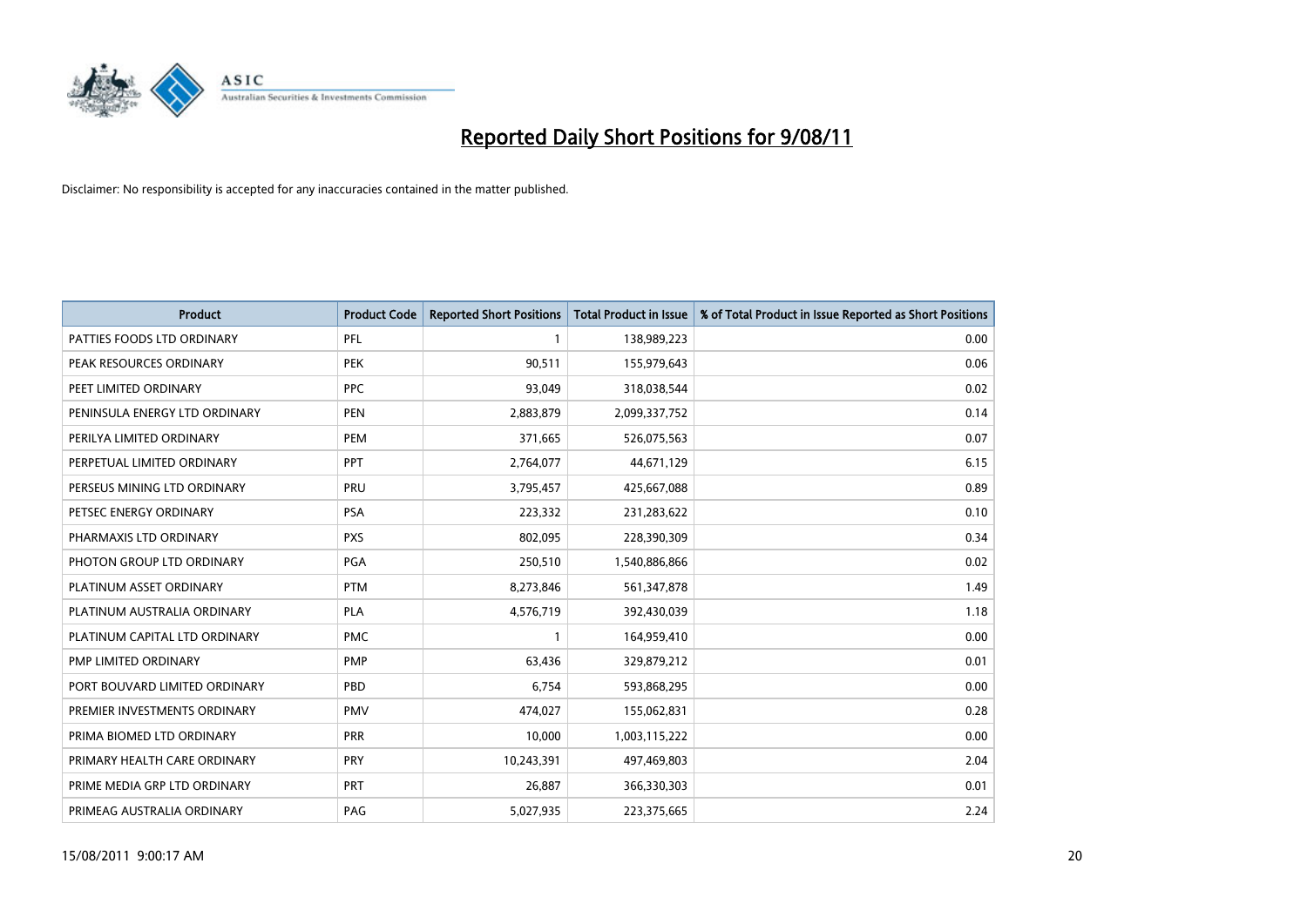

| <b>Product</b>                | <b>Product Code</b> | <b>Reported Short Positions</b> | <b>Total Product in Issue</b> | % of Total Product in Issue Reported as Short Positions |
|-------------------------------|---------------------|---------------------------------|-------------------------------|---------------------------------------------------------|
| PATTIES FOODS LTD ORDINARY    | PFL                 |                                 | 138,989,223                   | 0.00                                                    |
| PEAK RESOURCES ORDINARY       | <b>PEK</b>          | 90,511                          | 155,979,643                   | 0.06                                                    |
| PEET LIMITED ORDINARY         | <b>PPC</b>          | 93,049                          | 318,038,544                   | 0.02                                                    |
| PENINSULA ENERGY LTD ORDINARY | <b>PEN</b>          | 2,883,879                       | 2,099,337,752                 | 0.14                                                    |
| PERILYA LIMITED ORDINARY      | PEM                 | 371,665                         | 526,075,563                   | 0.07                                                    |
| PERPETUAL LIMITED ORDINARY    | PPT                 | 2,764,077                       | 44,671,129                    | 6.15                                                    |
| PERSEUS MINING LTD ORDINARY   | PRU                 | 3,795,457                       | 425,667,088                   | 0.89                                                    |
| PETSEC ENERGY ORDINARY        | <b>PSA</b>          | 223,332                         | 231,283,622                   | 0.10                                                    |
| PHARMAXIS LTD ORDINARY        | <b>PXS</b>          | 802.095                         | 228,390,309                   | 0.34                                                    |
| PHOTON GROUP LTD ORDINARY     | PGA                 | 250,510                         | 1,540,886,866                 | 0.02                                                    |
| PLATINUM ASSET ORDINARY       | <b>PTM</b>          | 8,273,846                       | 561,347,878                   | 1.49                                                    |
| PLATINUM AUSTRALIA ORDINARY   | <b>PLA</b>          | 4,576,719                       | 392,430,039                   | 1.18                                                    |
| PLATINUM CAPITAL LTD ORDINARY | <b>PMC</b>          |                                 | 164,959,410                   | 0.00                                                    |
| <b>PMP LIMITED ORDINARY</b>   | <b>PMP</b>          | 63,436                          | 329,879,212                   | 0.01                                                    |
| PORT BOUVARD LIMITED ORDINARY | PBD                 | 6.754                           | 593,868,295                   | 0.00                                                    |
| PREMIER INVESTMENTS ORDINARY  | <b>PMV</b>          | 474,027                         | 155,062,831                   | 0.28                                                    |
| PRIMA BIOMED LTD ORDINARY     | <b>PRR</b>          | 10,000                          | 1,003,115,222                 | 0.00                                                    |
| PRIMARY HEALTH CARE ORDINARY  | PRY                 | 10,243,391                      | 497,469,803                   | 2.04                                                    |
| PRIME MEDIA GRP LTD ORDINARY  | <b>PRT</b>          | 26,887                          | 366,330,303                   | 0.01                                                    |
| PRIMEAG AUSTRALIA ORDINARY    | PAG                 | 5,027,935                       | 223,375,665                   | 2.24                                                    |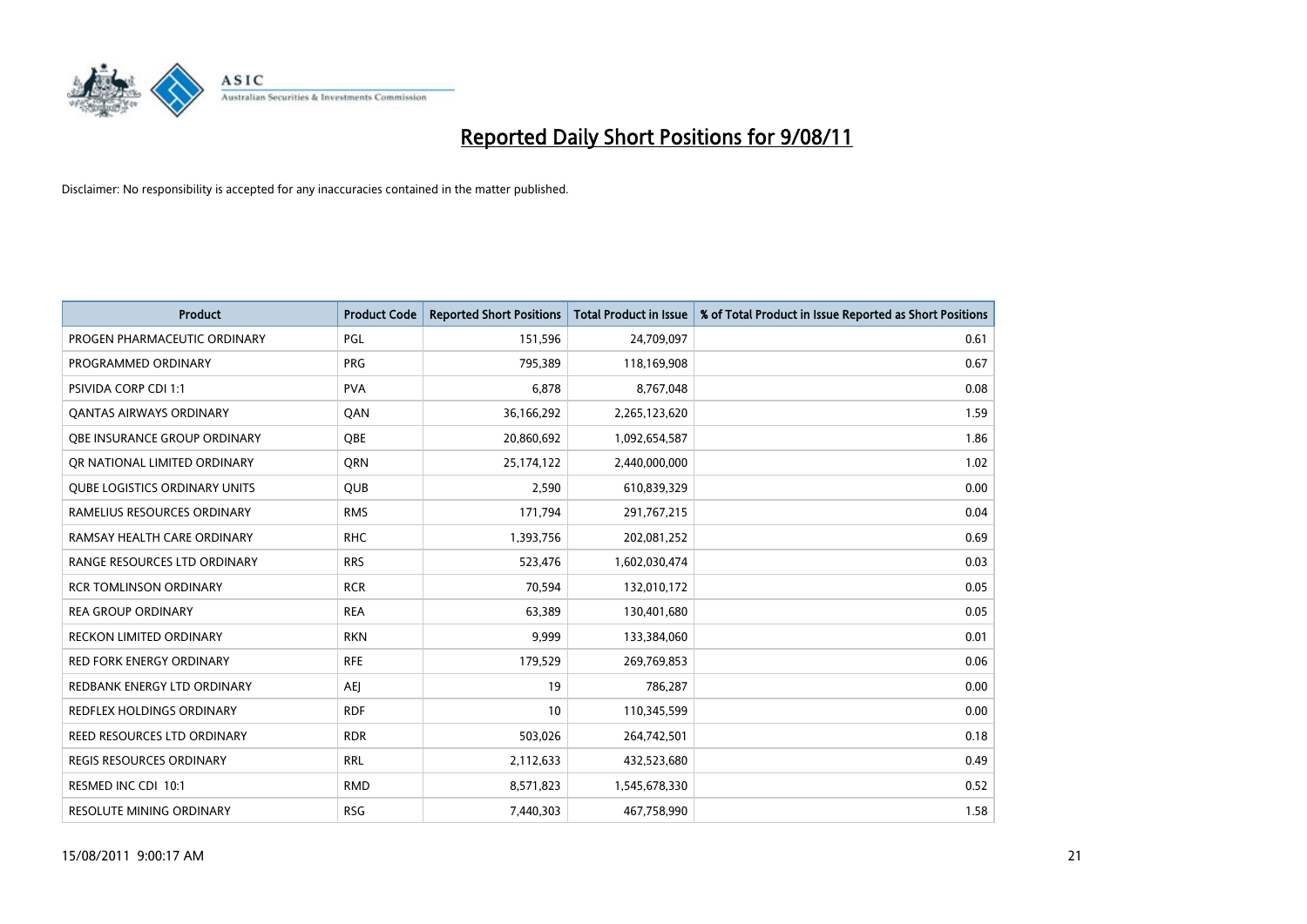

| <b>Product</b>                       | <b>Product Code</b> | <b>Reported Short Positions</b> | Total Product in Issue | % of Total Product in Issue Reported as Short Positions |
|--------------------------------------|---------------------|---------------------------------|------------------------|---------------------------------------------------------|
| PROGEN PHARMACEUTIC ORDINARY         | PGL                 | 151,596                         | 24,709,097             | 0.61                                                    |
| PROGRAMMED ORDINARY                  | <b>PRG</b>          | 795,389                         | 118,169,908            | 0.67                                                    |
| <b>PSIVIDA CORP CDI 1:1</b>          | <b>PVA</b>          | 6,878                           | 8,767,048              | 0.08                                                    |
| <b>QANTAS AIRWAYS ORDINARY</b>       | QAN                 | 36,166,292                      | 2,265,123,620          | 1.59                                                    |
| OBE INSURANCE GROUP ORDINARY         | <b>OBE</b>          | 20,860,692                      | 1,092,654,587          | 1.86                                                    |
| OR NATIONAL LIMITED ORDINARY         | <b>ORN</b>          | 25,174,122                      | 2,440,000,000          | 1.02                                                    |
| <b>QUBE LOGISTICS ORDINARY UNITS</b> | <b>QUB</b>          | 2,590                           | 610,839,329            | 0.00                                                    |
| RAMELIUS RESOURCES ORDINARY          | <b>RMS</b>          | 171,794                         | 291,767,215            | 0.04                                                    |
| RAMSAY HEALTH CARE ORDINARY          | <b>RHC</b>          | 1,393,756                       | 202,081,252            | 0.69                                                    |
| RANGE RESOURCES LTD ORDINARY         | <b>RRS</b>          | 523,476                         | 1,602,030,474          | 0.03                                                    |
| <b>RCR TOMLINSON ORDINARY</b>        | <b>RCR</b>          | 70,594                          | 132,010,172            | 0.05                                                    |
| <b>REA GROUP ORDINARY</b>            | <b>REA</b>          | 63,389                          | 130,401,680            | 0.05                                                    |
| RECKON LIMITED ORDINARY              | <b>RKN</b>          | 9,999                           | 133,384,060            | 0.01                                                    |
| <b>RED FORK ENERGY ORDINARY</b>      | <b>RFE</b>          | 179,529                         | 269,769,853            | 0.06                                                    |
| REDBANK ENERGY LTD ORDINARY          | <b>AEI</b>          | 19                              | 786,287                | 0.00                                                    |
| REDFLEX HOLDINGS ORDINARY            | <b>RDF</b>          | 10                              | 110,345,599            | 0.00                                                    |
| REED RESOURCES LTD ORDINARY          | <b>RDR</b>          | 503,026                         | 264,742,501            | 0.18                                                    |
| <b>REGIS RESOURCES ORDINARY</b>      | <b>RRL</b>          | 2,112,633                       | 432,523,680            | 0.49                                                    |
| RESMED INC CDI 10:1                  | <b>RMD</b>          | 8,571,823                       | 1,545,678,330          | 0.52                                                    |
| RESOLUTE MINING ORDINARY             | <b>RSG</b>          | 7,440,303                       | 467,758,990            | 1.58                                                    |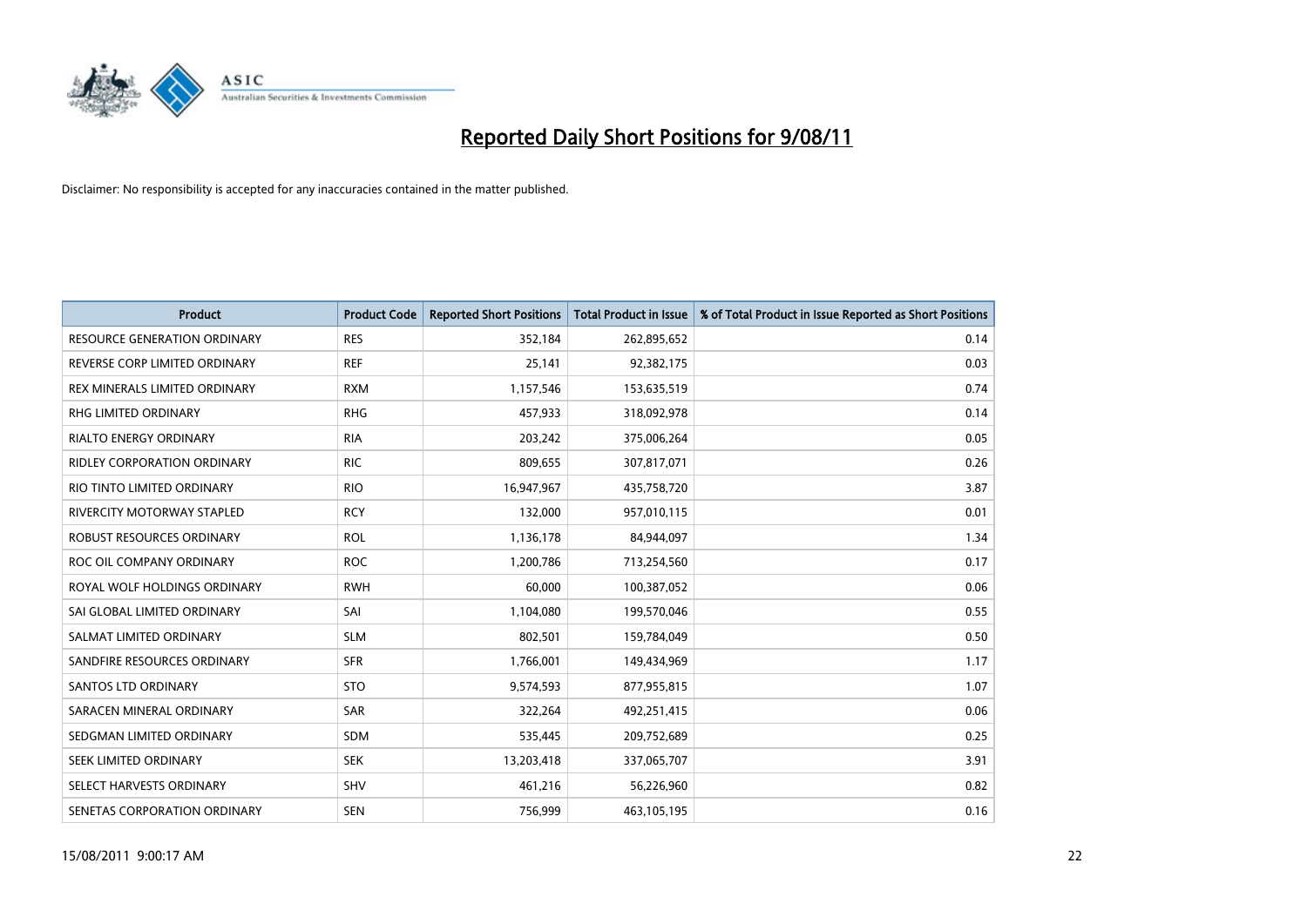

| <b>Product</b>                      | <b>Product Code</b> | <b>Reported Short Positions</b> | Total Product in Issue | % of Total Product in Issue Reported as Short Positions |
|-------------------------------------|---------------------|---------------------------------|------------------------|---------------------------------------------------------|
| <b>RESOURCE GENERATION ORDINARY</b> | <b>RES</b>          | 352,184                         | 262,895,652            | 0.14                                                    |
| REVERSE CORP LIMITED ORDINARY       | <b>REF</b>          | 25,141                          | 92,382,175             | 0.03                                                    |
| REX MINERALS LIMITED ORDINARY       | <b>RXM</b>          | 1,157,546                       | 153,635,519            | 0.74                                                    |
| RHG LIMITED ORDINARY                | <b>RHG</b>          | 457,933                         | 318,092,978            | 0.14                                                    |
| <b>RIALTO ENERGY ORDINARY</b>       | <b>RIA</b>          | 203,242                         | 375,006,264            | 0.05                                                    |
| <b>RIDLEY CORPORATION ORDINARY</b>  | <b>RIC</b>          | 809,655                         | 307,817,071            | 0.26                                                    |
| RIO TINTO LIMITED ORDINARY          | <b>RIO</b>          | 16,947,967                      | 435,758,720            | 3.87                                                    |
| <b>RIVERCITY MOTORWAY STAPLED</b>   | <b>RCY</b>          | 132,000                         | 957,010,115            | 0.01                                                    |
| ROBUST RESOURCES ORDINARY           | <b>ROL</b>          | 1,136,178                       | 84,944,097             | 1.34                                                    |
| ROC OIL COMPANY ORDINARY            | <b>ROC</b>          | 1,200,786                       | 713,254,560            | 0.17                                                    |
| ROYAL WOLF HOLDINGS ORDINARY        | <b>RWH</b>          | 60,000                          | 100,387,052            | 0.06                                                    |
| SAI GLOBAL LIMITED ORDINARY         | SAI                 | 1,104,080                       | 199,570,046            | 0.55                                                    |
| SALMAT LIMITED ORDINARY             | <b>SLM</b>          | 802,501                         | 159,784,049            | 0.50                                                    |
| SANDFIRE RESOURCES ORDINARY         | <b>SFR</b>          | 1,766,001                       | 149,434,969            | 1.17                                                    |
| <b>SANTOS LTD ORDINARY</b>          | <b>STO</b>          | 9,574,593                       | 877,955,815            | 1.07                                                    |
| SARACEN MINERAL ORDINARY            | <b>SAR</b>          | 322,264                         | 492,251,415            | 0.06                                                    |
| SEDGMAN LIMITED ORDINARY            | <b>SDM</b>          | 535,445                         | 209,752,689            | 0.25                                                    |
| SEEK LIMITED ORDINARY               | <b>SEK</b>          | 13,203,418                      | 337,065,707            | 3.91                                                    |
| SELECT HARVESTS ORDINARY            | <b>SHV</b>          | 461,216                         | 56,226,960             | 0.82                                                    |
| SENETAS CORPORATION ORDINARY        | <b>SEN</b>          | 756,999                         | 463,105,195            | 0.16                                                    |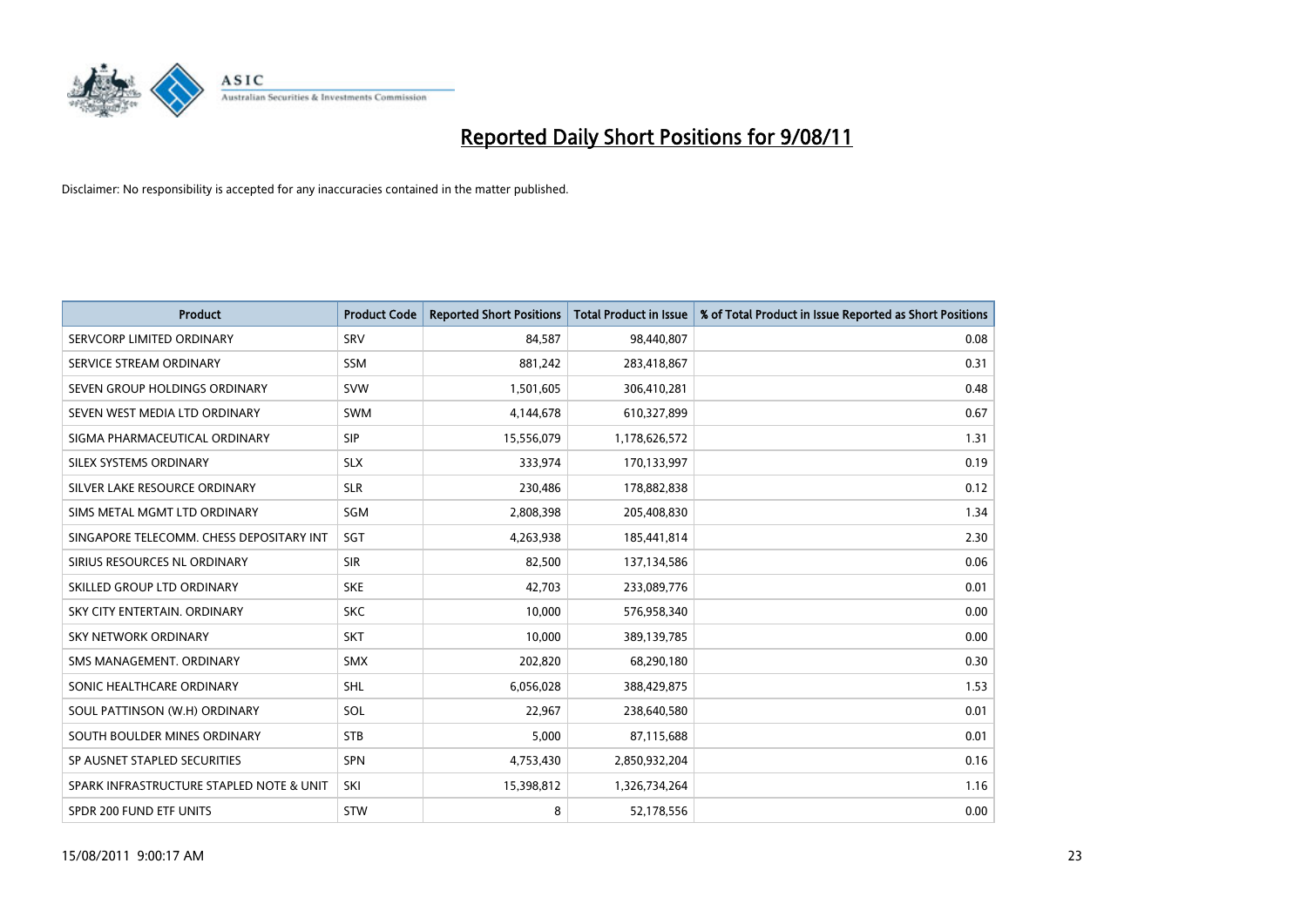

| <b>Product</b>                           | <b>Product Code</b> | <b>Reported Short Positions</b> | <b>Total Product in Issue</b> | % of Total Product in Issue Reported as Short Positions |
|------------------------------------------|---------------------|---------------------------------|-------------------------------|---------------------------------------------------------|
| SERVCORP LIMITED ORDINARY                | SRV                 | 84,587                          | 98,440,807                    | 0.08                                                    |
| SERVICE STREAM ORDINARY                  | <b>SSM</b>          | 881,242                         | 283,418,867                   | 0.31                                                    |
| SEVEN GROUP HOLDINGS ORDINARY            | <b>SVW</b>          | 1,501,605                       | 306,410,281                   | 0.48                                                    |
| SEVEN WEST MEDIA LTD ORDINARY            | <b>SWM</b>          | 4,144,678                       | 610,327,899                   | 0.67                                                    |
| SIGMA PHARMACEUTICAL ORDINARY            | SIP                 | 15,556,079                      | 1,178,626,572                 | 1.31                                                    |
| SILEX SYSTEMS ORDINARY                   | <b>SLX</b>          | 333,974                         | 170,133,997                   | 0.19                                                    |
| SILVER LAKE RESOURCE ORDINARY            | <b>SLR</b>          | 230,486                         | 178,882,838                   | 0.12                                                    |
| SIMS METAL MGMT LTD ORDINARY             | <b>SGM</b>          | 2,808,398                       | 205,408,830                   | 1.34                                                    |
| SINGAPORE TELECOMM. CHESS DEPOSITARY INT | SGT                 | 4,263,938                       | 185,441,814                   | 2.30                                                    |
| SIRIUS RESOURCES NL ORDINARY             | <b>SIR</b>          | 82,500                          | 137,134,586                   | 0.06                                                    |
| SKILLED GROUP LTD ORDINARY               | <b>SKE</b>          | 42,703                          | 233,089,776                   | 0.01                                                    |
| SKY CITY ENTERTAIN, ORDINARY             | <b>SKC</b>          | 10,000                          | 576,958,340                   | 0.00                                                    |
| <b>SKY NETWORK ORDINARY</b>              | <b>SKT</b>          | 10,000                          | 389,139,785                   | 0.00                                                    |
| SMS MANAGEMENT, ORDINARY                 | <b>SMX</b>          | 202,820                         | 68,290,180                    | 0.30                                                    |
| SONIC HEALTHCARE ORDINARY                | <b>SHL</b>          | 6,056,028                       | 388,429,875                   | 1.53                                                    |
| SOUL PATTINSON (W.H) ORDINARY            | SOL                 | 22,967                          | 238,640,580                   | 0.01                                                    |
| SOUTH BOULDER MINES ORDINARY             | <b>STB</b>          | 5,000                           | 87,115,688                    | 0.01                                                    |
| SP AUSNET STAPLED SECURITIES             | <b>SPN</b>          | 4,753,430                       | 2,850,932,204                 | 0.16                                                    |
| SPARK INFRASTRUCTURE STAPLED NOTE & UNIT | SKI                 | 15,398,812                      | 1,326,734,264                 | 1.16                                                    |
| SPDR 200 FUND ETF UNITS                  | <b>STW</b>          | 8                               | 52,178,556                    | 0.00                                                    |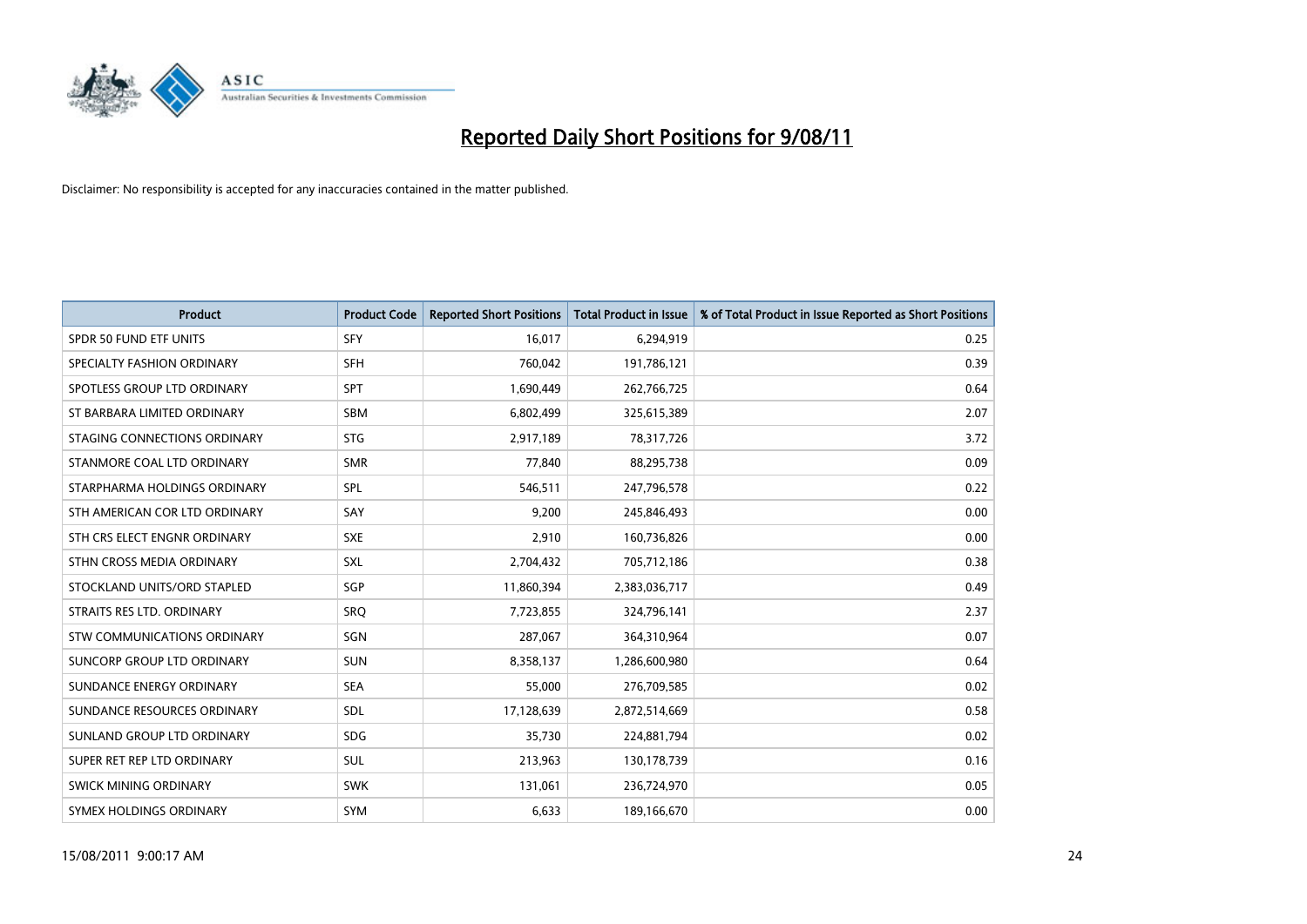

| <b>Product</b>                    | <b>Product Code</b> | <b>Reported Short Positions</b> | <b>Total Product in Issue</b> | % of Total Product in Issue Reported as Short Positions |
|-----------------------------------|---------------------|---------------------------------|-------------------------------|---------------------------------------------------------|
| <b>SPDR 50 FUND ETF UNITS</b>     | <b>SFY</b>          | 16,017                          | 6,294,919                     | 0.25                                                    |
| SPECIALTY FASHION ORDINARY        | <b>SFH</b>          | 760,042                         | 191,786,121                   | 0.39                                                    |
| SPOTLESS GROUP LTD ORDINARY       | <b>SPT</b>          | 1,690,449                       | 262,766,725                   | 0.64                                                    |
| ST BARBARA LIMITED ORDINARY       | <b>SBM</b>          | 6,802,499                       | 325,615,389                   | 2.07                                                    |
| STAGING CONNECTIONS ORDINARY      | <b>STG</b>          | 2,917,189                       | 78,317,726                    | 3.72                                                    |
| STANMORE COAL LTD ORDINARY        | <b>SMR</b>          | 77,840                          | 88,295,738                    | 0.09                                                    |
| STARPHARMA HOLDINGS ORDINARY      | <b>SPL</b>          | 546,511                         | 247,796,578                   | 0.22                                                    |
| STH AMERICAN COR LTD ORDINARY     | SAY                 | 9,200                           | 245,846,493                   | 0.00                                                    |
| STH CRS ELECT ENGNR ORDINARY      | <b>SXE</b>          | 2,910                           | 160,736,826                   | 0.00                                                    |
| STHN CROSS MEDIA ORDINARY         | SXL                 | 2,704,432                       | 705,712,186                   | 0.38                                                    |
| STOCKLAND UNITS/ORD STAPLED       | <b>SGP</b>          | 11,860,394                      | 2,383,036,717                 | 0.49                                                    |
| STRAITS RES LTD. ORDINARY         | <b>SRO</b>          | 7,723,855                       | 324,796,141                   | 2.37                                                    |
| STW COMMUNICATIONS ORDINARY       | SGN                 | 287,067                         | 364,310,964                   | 0.07                                                    |
| <b>SUNCORP GROUP LTD ORDINARY</b> | <b>SUN</b>          | 8,358,137                       | 1,286,600,980                 | 0.64                                                    |
| SUNDANCE ENERGY ORDINARY          | <b>SEA</b>          | 55,000                          | 276,709,585                   | 0.02                                                    |
| SUNDANCE RESOURCES ORDINARY       | SDL                 | 17,128,639                      | 2,872,514,669                 | 0.58                                                    |
| SUNLAND GROUP LTD ORDINARY        | <b>SDG</b>          | 35,730                          | 224,881,794                   | 0.02                                                    |
| SUPER RET REP LTD ORDINARY        | <b>SUL</b>          | 213,963                         | 130,178,739                   | 0.16                                                    |
| <b>SWICK MINING ORDINARY</b>      | <b>SWK</b>          | 131,061                         | 236,724,970                   | 0.05                                                    |
| SYMEX HOLDINGS ORDINARY           | SYM                 | 6,633                           | 189,166,670                   | 0.00                                                    |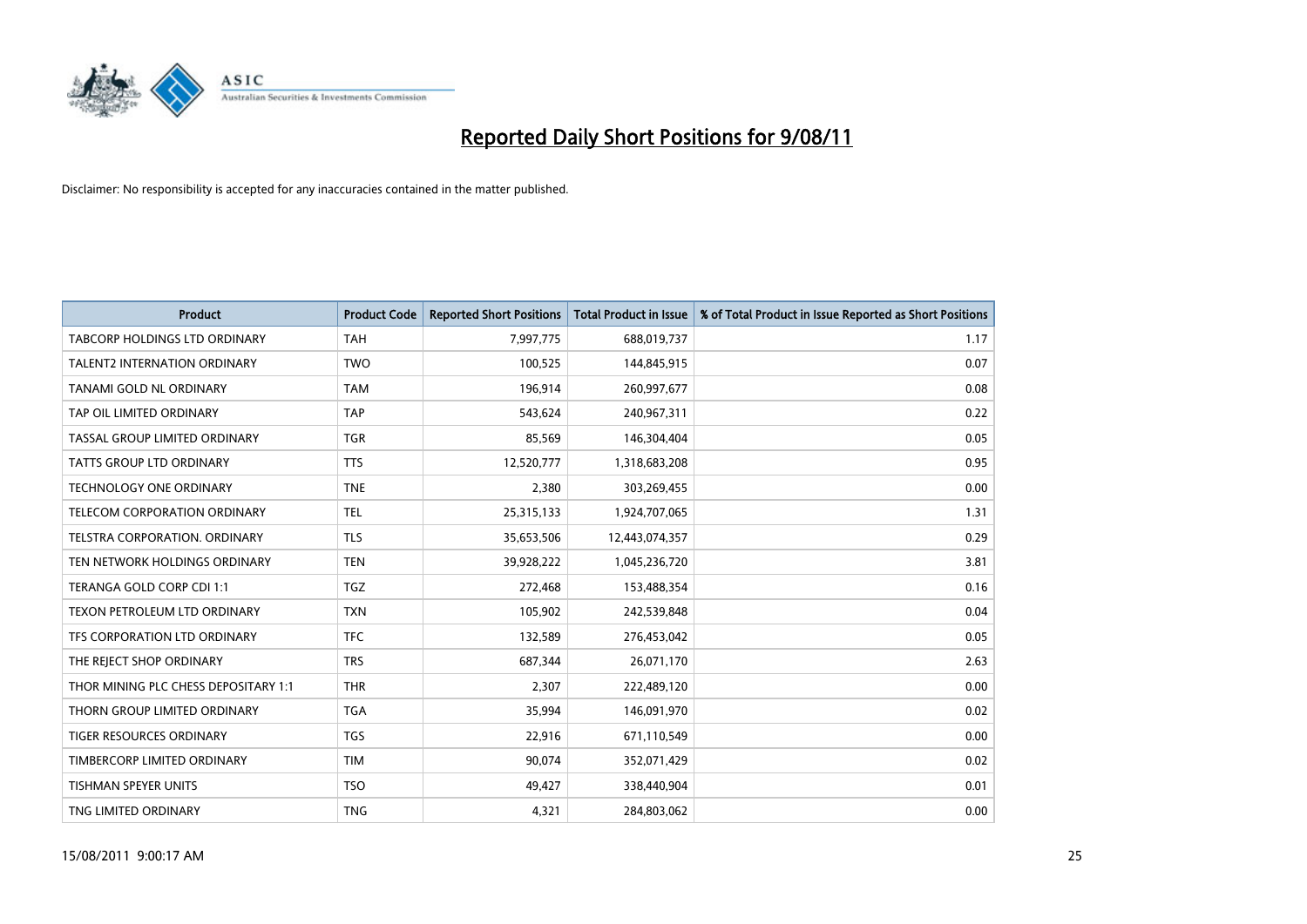

| <b>Product</b>                       | <b>Product Code</b> | <b>Reported Short Positions</b> | <b>Total Product in Issue</b> | % of Total Product in Issue Reported as Short Positions |
|--------------------------------------|---------------------|---------------------------------|-------------------------------|---------------------------------------------------------|
| <b>TABCORP HOLDINGS LTD ORDINARY</b> | <b>TAH</b>          | 7,997,775                       | 688,019,737                   | 1.17                                                    |
| TALENT2 INTERNATION ORDINARY         | <b>TWO</b>          | 100,525                         | 144,845,915                   | 0.07                                                    |
| TANAMI GOLD NL ORDINARY              | <b>TAM</b>          | 196,914                         | 260,997,677                   | 0.08                                                    |
| TAP OIL LIMITED ORDINARY             | <b>TAP</b>          | 543,624                         | 240,967,311                   | 0.22                                                    |
| TASSAL GROUP LIMITED ORDINARY        | <b>TGR</b>          | 85,569                          | 146,304,404                   | 0.05                                                    |
| <b>TATTS GROUP LTD ORDINARY</b>      | <b>TTS</b>          | 12,520,777                      | 1,318,683,208                 | 0.95                                                    |
| <b>TECHNOLOGY ONE ORDINARY</b>       | <b>TNE</b>          | 2,380                           | 303,269,455                   | 0.00                                                    |
| TELECOM CORPORATION ORDINARY         | <b>TEL</b>          | 25,315,133                      | 1,924,707,065                 | 1.31                                                    |
| TELSTRA CORPORATION. ORDINARY        | <b>TLS</b>          | 35,653,506                      | 12,443,074,357                | 0.29                                                    |
| TEN NETWORK HOLDINGS ORDINARY        | <b>TEN</b>          | 39,928,222                      | 1,045,236,720                 | 3.81                                                    |
| TERANGA GOLD CORP CDI 1:1            | <b>TGZ</b>          | 272,468                         | 153,488,354                   | 0.16                                                    |
| TEXON PETROLEUM LTD ORDINARY         | <b>TXN</b>          | 105,902                         | 242,539,848                   | 0.04                                                    |
| TFS CORPORATION LTD ORDINARY         | <b>TFC</b>          | 132,589                         | 276,453,042                   | 0.05                                                    |
| THE REJECT SHOP ORDINARY             | <b>TRS</b>          | 687,344                         | 26,071,170                    | 2.63                                                    |
| THOR MINING PLC CHESS DEPOSITARY 1:1 | <b>THR</b>          | 2,307                           | 222,489,120                   | 0.00                                                    |
| THORN GROUP LIMITED ORDINARY         | <b>TGA</b>          | 35,994                          | 146,091,970                   | 0.02                                                    |
| <b>TIGER RESOURCES ORDINARY</b>      | <b>TGS</b>          | 22,916                          | 671,110,549                   | 0.00                                                    |
| TIMBERCORP LIMITED ORDINARY          | <b>TIM</b>          | 90,074                          | 352,071,429                   | 0.02                                                    |
| <b>TISHMAN SPEYER UNITS</b>          | <b>TSO</b>          | 49,427                          | 338,440,904                   | 0.01                                                    |
| TNG LIMITED ORDINARY                 | <b>TNG</b>          | 4,321                           | 284,803,062                   | 0.00                                                    |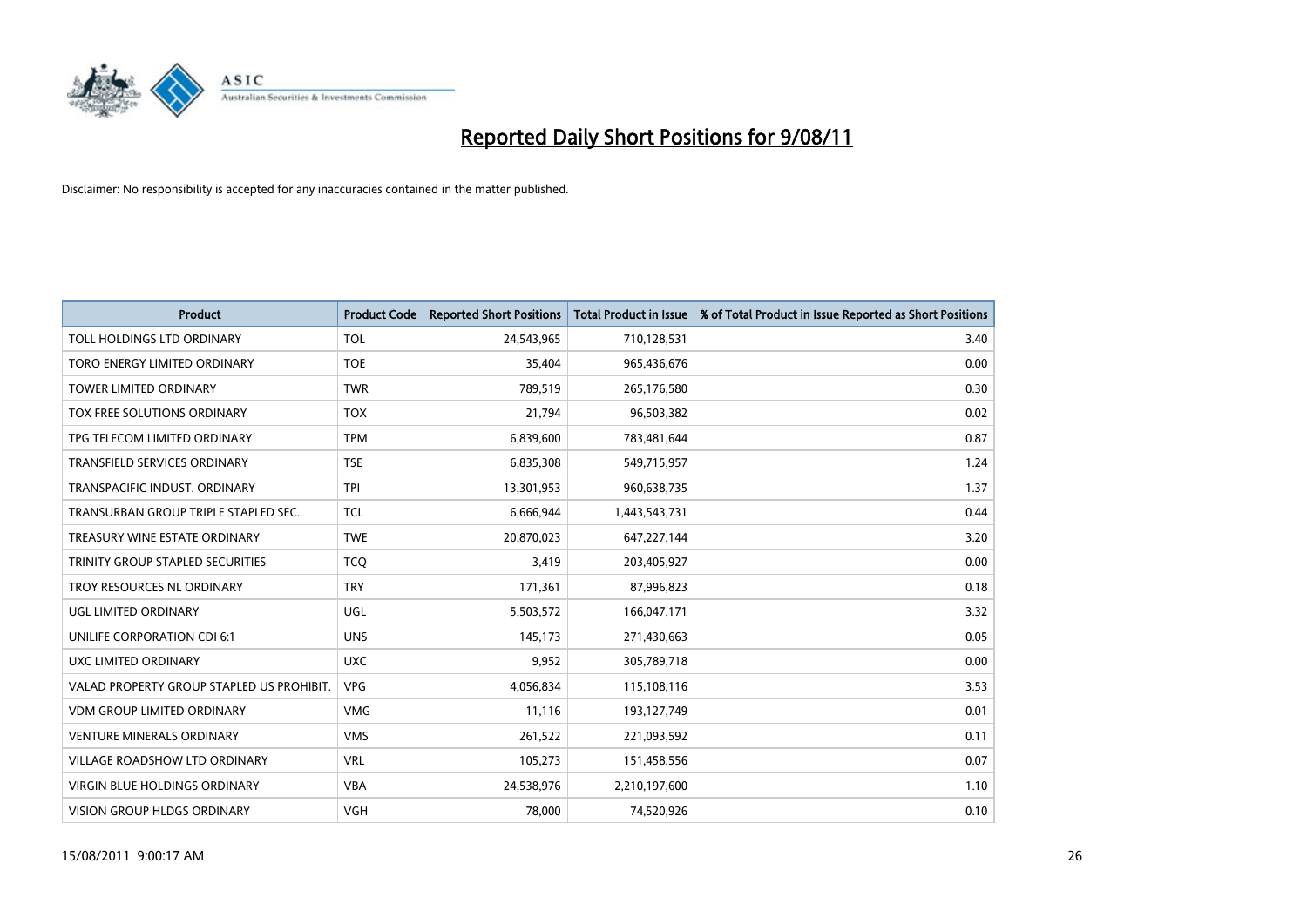

| <b>Product</b>                            | <b>Product Code</b> | <b>Reported Short Positions</b> | <b>Total Product in Issue</b> | % of Total Product in Issue Reported as Short Positions |
|-------------------------------------------|---------------------|---------------------------------|-------------------------------|---------------------------------------------------------|
| TOLL HOLDINGS LTD ORDINARY                | <b>TOL</b>          | 24,543,965                      | 710,128,531                   | 3.40                                                    |
| TORO ENERGY LIMITED ORDINARY              | <b>TOE</b>          | 35,404                          | 965,436,676                   | 0.00                                                    |
| <b>TOWER LIMITED ORDINARY</b>             | <b>TWR</b>          | 789,519                         | 265,176,580                   | 0.30                                                    |
| TOX FREE SOLUTIONS ORDINARY               | <b>TOX</b>          | 21,794                          | 96,503,382                    | 0.02                                                    |
| TPG TELECOM LIMITED ORDINARY              | <b>TPM</b>          | 6,839,600                       | 783,481,644                   | 0.87                                                    |
| <b>TRANSFIELD SERVICES ORDINARY</b>       | <b>TSE</b>          | 6,835,308                       | 549,715,957                   | 1.24                                                    |
| TRANSPACIFIC INDUST, ORDINARY             | <b>TPI</b>          | 13,301,953                      | 960,638,735                   | 1.37                                                    |
| TRANSURBAN GROUP TRIPLE STAPLED SEC.      | <b>TCL</b>          | 6,666,944                       | 1,443,543,731                 | 0.44                                                    |
| TREASURY WINE ESTATE ORDINARY             | <b>TWE</b>          | 20,870,023                      | 647,227,144                   | 3.20                                                    |
| TRINITY GROUP STAPLED SECURITIES          | <b>TCO</b>          | 3,419                           | 203,405,927                   | 0.00                                                    |
| TROY RESOURCES NL ORDINARY                | <b>TRY</b>          | 171,361                         | 87,996,823                    | 0.18                                                    |
| UGL LIMITED ORDINARY                      | <b>UGL</b>          | 5,503,572                       | 166,047,171                   | 3.32                                                    |
| UNILIFE CORPORATION CDI 6:1               | <b>UNS</b>          | 145,173                         | 271,430,663                   | 0.05                                                    |
| UXC LIMITED ORDINARY                      | <b>UXC</b>          | 9,952                           | 305,789,718                   | 0.00                                                    |
| VALAD PROPERTY GROUP STAPLED US PROHIBIT. | <b>VPG</b>          | 4,056,834                       | 115,108,116                   | 3.53                                                    |
| <b>VDM GROUP LIMITED ORDINARY</b>         | <b>VMG</b>          | 11,116                          | 193,127,749                   | 0.01                                                    |
| <b>VENTURE MINERALS ORDINARY</b>          | <b>VMS</b>          | 261,522                         | 221,093,592                   | 0.11                                                    |
| VILLAGE ROADSHOW LTD ORDINARY             | <b>VRL</b>          | 105,273                         | 151,458,556                   | 0.07                                                    |
| <b>VIRGIN BLUE HOLDINGS ORDINARY</b>      | <b>VBA</b>          | 24,538,976                      | 2,210,197,600                 | 1.10                                                    |
| VISION GROUP HLDGS ORDINARY               | <b>VGH</b>          | 78,000                          | 74,520,926                    | 0.10                                                    |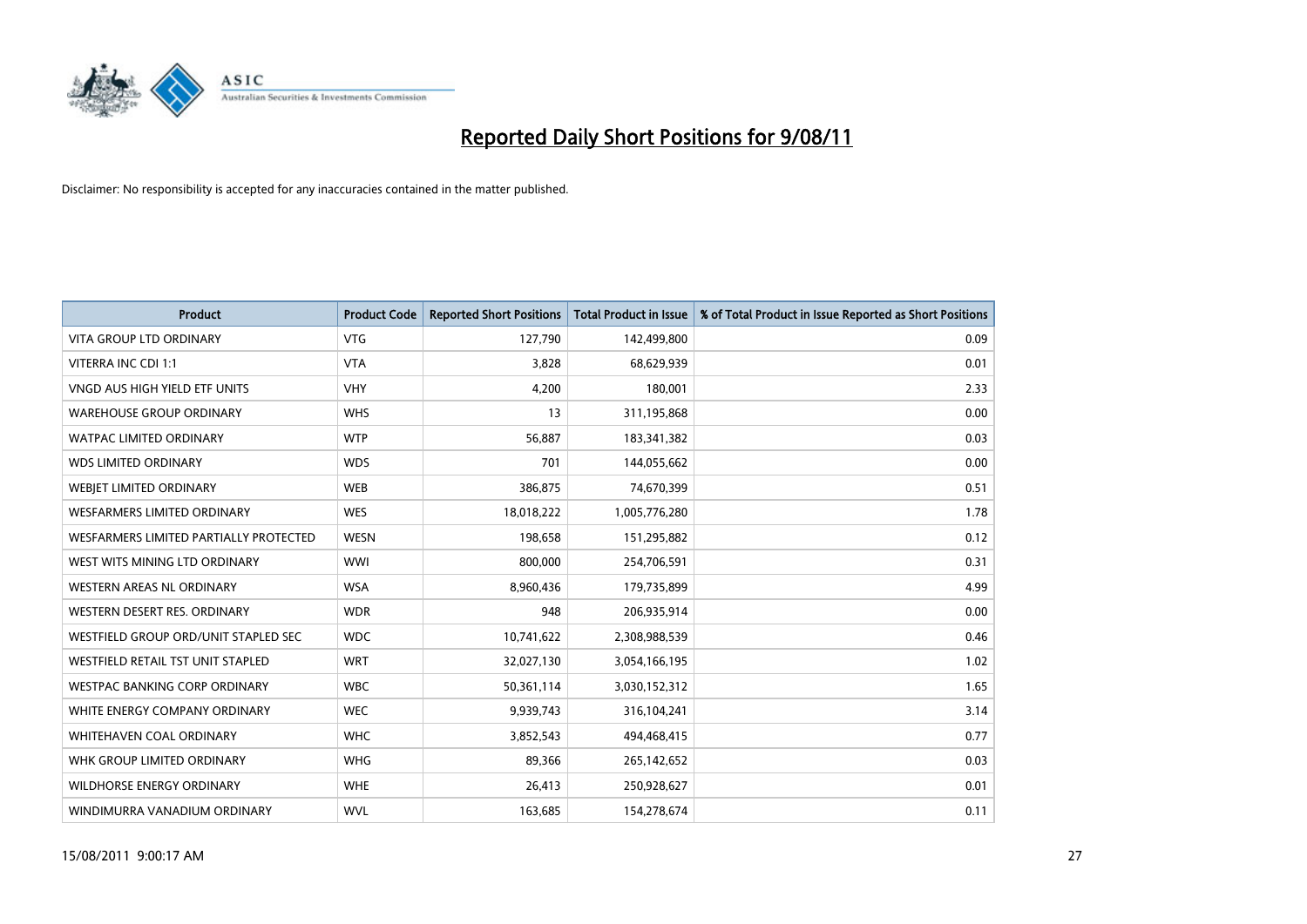

| <b>Product</b>                         | <b>Product Code</b> | <b>Reported Short Positions</b> | Total Product in Issue | % of Total Product in Issue Reported as Short Positions |
|----------------------------------------|---------------------|---------------------------------|------------------------|---------------------------------------------------------|
| <b>VITA GROUP LTD ORDINARY</b>         | <b>VTG</b>          | 127,790                         | 142,499,800            | 0.09                                                    |
| VITERRA INC CDI 1:1                    | <b>VTA</b>          | 3,828                           | 68,629,939             | 0.01                                                    |
| VNGD AUS HIGH YIELD ETF UNITS          | <b>VHY</b>          | 4,200                           | 180,001                | 2.33                                                    |
| <b>WAREHOUSE GROUP ORDINARY</b>        | <b>WHS</b>          | 13                              | 311,195,868            | 0.00                                                    |
| <b>WATPAC LIMITED ORDINARY</b>         | <b>WTP</b>          | 56.887                          | 183,341,382            | 0.03                                                    |
| <b>WDS LIMITED ORDINARY</b>            | <b>WDS</b>          | 701                             | 144,055,662            | 0.00                                                    |
| WEBIET LIMITED ORDINARY                | <b>WEB</b>          | 386,875                         | 74,670,399             | 0.51                                                    |
| <b>WESFARMERS LIMITED ORDINARY</b>     | <b>WES</b>          | 18,018,222                      | 1,005,776,280          | 1.78                                                    |
| WESFARMERS LIMITED PARTIALLY PROTECTED | <b>WESN</b>         | 198,658                         | 151,295,882            | 0.12                                                    |
| WEST WITS MINING LTD ORDINARY          | <b>WWI</b>          | 800,000                         | 254,706,591            | 0.31                                                    |
| <b>WESTERN AREAS NL ORDINARY</b>       | <b>WSA</b>          | 8,960,436                       | 179,735,899            | 4.99                                                    |
| WESTERN DESERT RES. ORDINARY           | <b>WDR</b>          | 948                             | 206,935,914            | 0.00                                                    |
| WESTFIELD GROUP ORD/UNIT STAPLED SEC   | <b>WDC</b>          | 10,741,622                      | 2,308,988,539          | 0.46                                                    |
| WESTFIELD RETAIL TST UNIT STAPLED      | <b>WRT</b>          | 32,027,130                      | 3,054,166,195          | 1.02                                                    |
| <b>WESTPAC BANKING CORP ORDINARY</b>   | <b>WBC</b>          | 50,361,114                      | 3,030,152,312          | 1.65                                                    |
| WHITE ENERGY COMPANY ORDINARY          | <b>WEC</b>          | 9,939,743                       | 316,104,241            | 3.14                                                    |
| <b>WHITEHAVEN COAL ORDINARY</b>        | <b>WHC</b>          | 3,852,543                       | 494,468,415            | 0.77                                                    |
| WHK GROUP LIMITED ORDINARY             | <b>WHG</b>          | 89,366                          | 265,142,652            | 0.03                                                    |
| <b>WILDHORSE ENERGY ORDINARY</b>       | <b>WHE</b>          | 26,413                          | 250,928,627            | 0.01                                                    |
| WINDIMURRA VANADIUM ORDINARY           | <b>WVL</b>          | 163,685                         | 154,278,674            | 0.11                                                    |